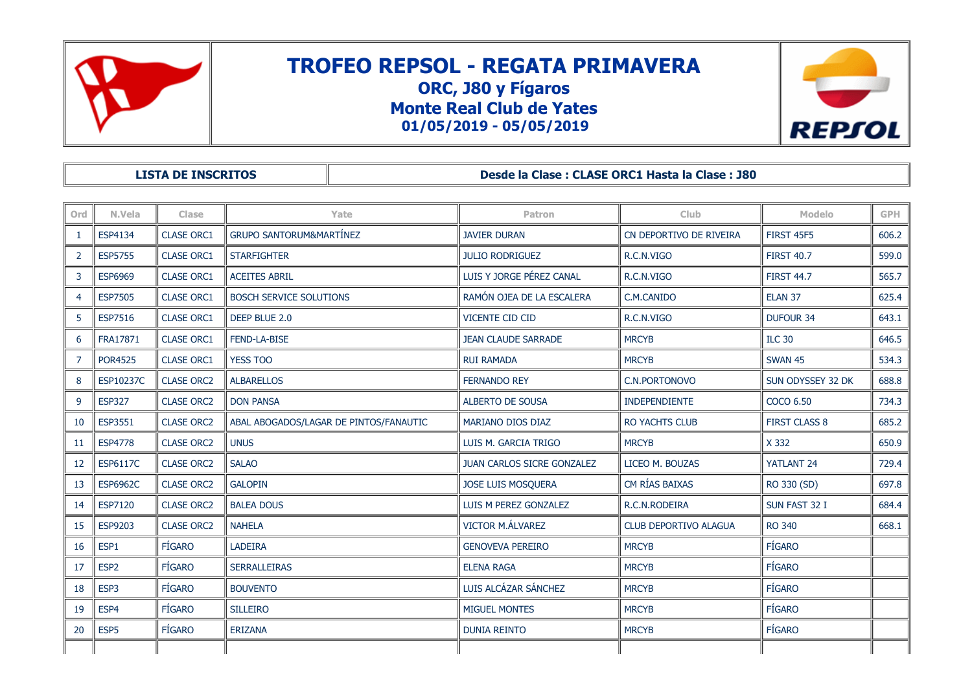

# **TROFEO REPSOL - REGATA PRIMAVERA ORC, J80 y Fígaros**

**Monte Real Club de Yates 01/05/2019 - 05/05/2019**



**LISTA DE INSCRITOS Desde la Clase : CLASE ORC1 Hasta la Clase : J80**

| Ord | N.Vela           | Clase             | Yate                                   | Patron                            | <b>Club</b>                  | Modelo               | GPH   |
|-----|------------------|-------------------|----------------------------------------|-----------------------------------|------------------------------|----------------------|-------|
| -1  | ESP4134          | <b>CLASE ORC1</b> | <b>GRUPO SANTORUM&amp;MARTÍNEZ</b>     | <b>JAVIER DURAN</b>               | CN DEPORTIVO DE RIVEIRA      | <b>FIRST 45F5</b>    | 606.2 |
| 2   | <b>ESP5755</b>   | <b>CLASE ORC1</b> | <b>STARFIGHTER</b>                     | <b>JULIO RODRIGUEZ</b>            | R.C.N.VIGO                   | <b>FIRST 40.7</b>    | 599.0 |
| 3   | <b>ESP6969</b>   | <b>CLASE ORC1</b> | <b>ACEITES ABRIL</b>                   | LUIS Y JORGE PÉREZ CANAL          | R.C.N.VIGO                   | <b>FIRST 44.7</b>    | 565.7 |
| 4   | <b>ESP7505</b>   | <b>CLASE ORC1</b> | <b>BOSCH SERVICE SOLUTIONS</b>         | RAMÓN OJEA DE LA ESCALERA         | C.M.CANIDO                   | ELAN <sub>37</sub>   | 625.4 |
| 5   | <b>ESP7516</b>   | <b>CLASE ORC1</b> | DEEP BLUE 2.0                          | <b>VICENTE CID CID</b>            | R.C.N.VIGO                   | <b>DUFOUR 34</b>     | 643.1 |
| 6   | FRA17871         | <b>CLASE ORC1</b> | FEND-LA-BISE                           | <b>JEAN CLAUDE SARRADE</b>        | <b>MRCYB</b>                 | <b>ILC 30</b>        | 646.5 |
| 7   | <b>POR4525</b>   | <b>CLASE ORC1</b> | <b>YESS TOO</b>                        | <b>RUI RAMADA</b>                 | <b>MRCYB</b>                 | <b>SWAN 45</b>       | 534.3 |
| 8   | ESP10237C        | <b>CLASE ORC2</b> | <b>ALBARELLOS</b>                      | <b>FERNANDO REY</b>               | C.N.PORTONOVO                | SUN ODYSSEY 32 DK    | 688.8 |
| 9   | <b>ESP327</b>    | <b>CLASE ORC2</b> | <b>DON PANSA</b>                       | ALBERTO DE SOUSA                  | INDEPENDIENTE                | COCO 6.50            | 734.3 |
| 10  | ESP3551          | <b>CLASE ORC2</b> | ABAL ABOGADOS/LAGAR DE PINTOS/FANAUTIC | <b>MARIANO DIOS DIAZ</b>          | <b>RO YACHTS CLUB</b>        | <b>FIRST CLASS 8</b> | 685.2 |
| 11  | <b>ESP4778</b>   | <b>CLASE ORC2</b> | <b>UNUS</b>                            | LUIS M. GARCIA TRIGO              | <b>MRCYB</b>                 | X 332                | 650.9 |
| 12  | <b>ESP6117C</b>  | <b>CLASE ORC2</b> | <b>SALAO</b>                           | <b>JUAN CARLOS SICRE GONZALEZ</b> | LICEO M. BOUZAS              | YATLANT 24           | 729.4 |
| 13  | <b>ESP6962C</b>  | <b>CLASE ORC2</b> | <b>GALOPIN</b>                         | JOSE LUIS MOSQUERA                | CM RÍAS BAIXAS               | RO 330 (SD)          | 697.8 |
| 14  | <b>ESP7120</b>   | <b>CLASE ORC2</b> | <b>BALEA DOUS</b>                      | LUIS M PEREZ GONZALEZ             | R.C.N.RODEIRA                | SUN FAST 32 I        | 684.4 |
| 15  | <b>ESP9203</b>   | <b>CLASE ORC2</b> | <b>NAHELA</b>                          | <b>VICTOR M.ÁLVAREZ</b>           | <b>CLUB DEPORTIVO ALAGUA</b> | <b>RO 340</b>        | 668.1 |
| 16  | ESP1             | FÍGARO            | <b>LADEIRA</b>                         | <b>GENOVEVA PEREIRO</b>           | <b>MRCYB</b>                 | <b>FÍGARO</b>        |       |
| 17  | ESP <sub>2</sub> | <b>FÍGARO</b>     | <b>SERRALLEIRAS</b>                    | <b>ELENA RAGA</b>                 | <b>MRCYB</b>                 | <b>FÍGARO</b>        |       |
| 18  | ESP3             | <b>FÍGARO</b>     | <b>BOUVENTO</b>                        | LUIS ALCÁZAR SÁNCHEZ              | <b>MRCYB</b>                 | <b>FÍGARO</b>        |       |
| 19  | ESP4             | <b>FÍGARO</b>     | <b>SILLEIRO</b>                        | <b>MIGUEL MONTES</b>              | <b>MRCYB</b>                 | <b>FÍGARO</b>        |       |
| 20  | ESP <sub>5</sub> | FÍGARO            | ERIZANA                                | <b>DUNIA REINTO</b>               | <b>MRCYB</b>                 | <b>FÍGARO</b>        |       |
|     |                  |                   |                                        |                                   |                              |                      |       |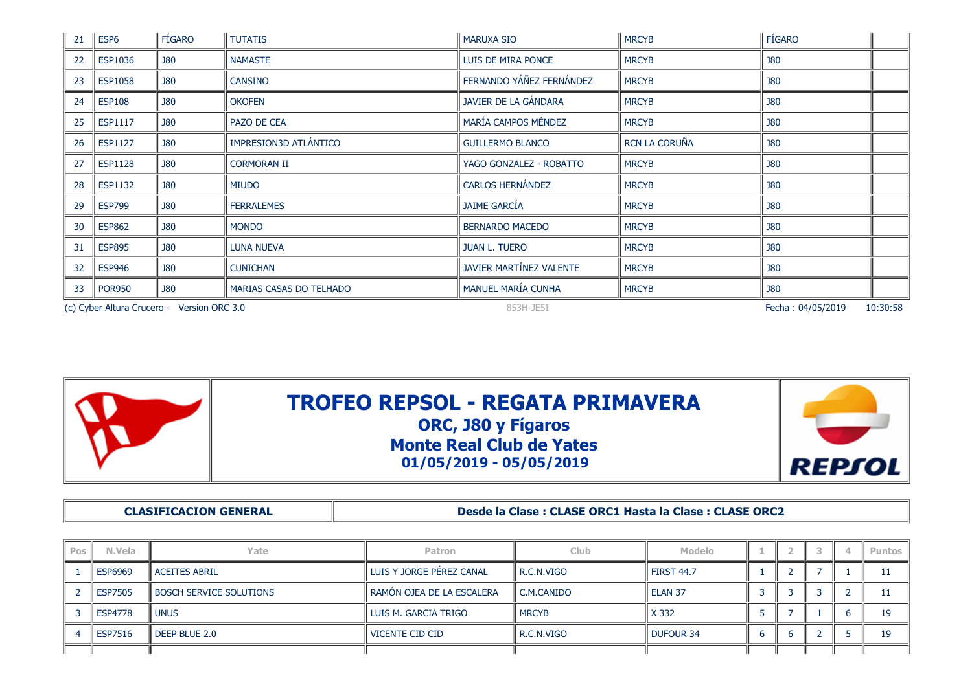| 21 | ESP <sub>6</sub> | <b>FÍGARO</b>                              | <b>TUTATIS</b>          | <b>MARUXA SIO</b>        | <b>MRCYB</b>  | FÍGARO            |          |
|----|------------------|--------------------------------------------|-------------------------|--------------------------|---------------|-------------------|----------|
| 22 | <b>ESP1036</b>   | <b>J80</b>                                 | <b>NAMASTE</b>          | LUIS DE MIRA PONCE       | <b>MRCYB</b>  | <b>J80</b>        |          |
| 23 | <b>ESP1058</b>   | <b>J80</b>                                 | <b>CANSINO</b>          | FERNANDO YÁÑEZ FERNÁNDEZ | <b>MRCYB</b>  | <b>J80</b>        |          |
| 24 | <b>ESP108</b>    | <b>J80</b>                                 | <b>OKOFEN</b>           | JAVIER DE LA GÁNDARA     | <b>MRCYB</b>  | <b>J80</b>        |          |
| 25 | <b>ESP1117</b>   | <b>J80</b>                                 | PAZO DE CEA             | MARÍA CAMPOS MÉNDEZ      | <b>MRCYB</b>  | <b>J80</b>        |          |
| 26 | ESP1127          | <b>J80</b>                                 | IMPRESION3D ATLÁNTICO   | <b>GUILLERMO BLANCO</b>  | RCN LA CORUÑA | <b>J80</b>        |          |
| 27 | <b>ESP1128</b>   | <b>J80</b>                                 | <b>CORMORAN II</b>      | YAGO GONZALEZ - ROBATTO  | <b>MRCYB</b>  | <b>J80</b>        |          |
| 28 | <b>ESP1132</b>   | <b>J80</b>                                 | <b>MIUDO</b>            | <b>CARLOS HERNÁNDEZ</b>  | <b>MRCYB</b>  | <b>J80</b>        |          |
| 29 | <b>ESP799</b>    | <b>J80</b>                                 | <b>FERRALEMES</b>       | <b>JAIME GARCÍA</b>      | <b>MRCYB</b>  | <b>J80</b>        |          |
| 30 | <b>ESP862</b>    | <b>J80</b>                                 | <b>MONDO</b>            | <b>BERNARDO MACEDO</b>   | <b>MRCYB</b>  | <b>J80</b>        |          |
| 31 | <b>ESP895</b>    | <b>J80</b>                                 | <b>LUNA NUEVA</b>       | <b>JUAN L. TUERO</b>     | <b>MRCYB</b>  | <b>J80</b>        |          |
| 32 | <b>ESP946</b>    | <b>J80</b>                                 | <b>CUNICHAN</b>         | JAVIER MARTÍNEZ VALENTE  | <b>MRCYB</b>  | <b>J80</b>        |          |
| 33 | <b>POR950</b>    | <b>J80</b>                                 | MARIAS CASAS DO TELHADO | MANUEL MARÍA CUNHA       | <b>MRCYB</b>  | <b>J80</b>        |          |
|    |                  | (c) Cyber Altura Crucero - Version ORC 3.0 |                         | 853H-JE5I                |               | Fecha: 04/05/2019 | 10:30:58 |



**CLASIFICACION GENERAL Desde la Clase : CLASE ORC1 Hasta la Clase : CLASE ORC2**

| Pos | N.Vela         | Yate                           | <b>Patron</b>               | <b>Club</b>  | <b>Modelo</b> |   | - |  | Puntos I |
|-----|----------------|--------------------------------|-----------------------------|--------------|---------------|---|---|--|----------|
|     | <b>ESP6969</b> | l ACEITES ABRIL                | l LUIS Y JORGE PÉREZ CANAL  | R.C.N.VIGO   | l first 44.7  |   |   |  |          |
|     | <b>ESP7505</b> | <b>BOSCH SERVICE SOLUTIONS</b> | l RAMÓN OJEA DE LA ESCALERA | C.M.CANIDO   | l ELAN 37     |   |   |  |          |
|     | <b>ESP4778</b> | l unus                         | l LUIS M. GARCIA TRIGO      | <b>MRCYB</b> | X 332         |   |   |  | 19       |
|     | <b>ESP7516</b> | DEEP BLUE 2.0                  | l vicente cid cid           | R.C.N.VIGO   | l Dufour 34   | h |   |  | 19       |
|     |                |                                |                             |              |               |   |   |  |          |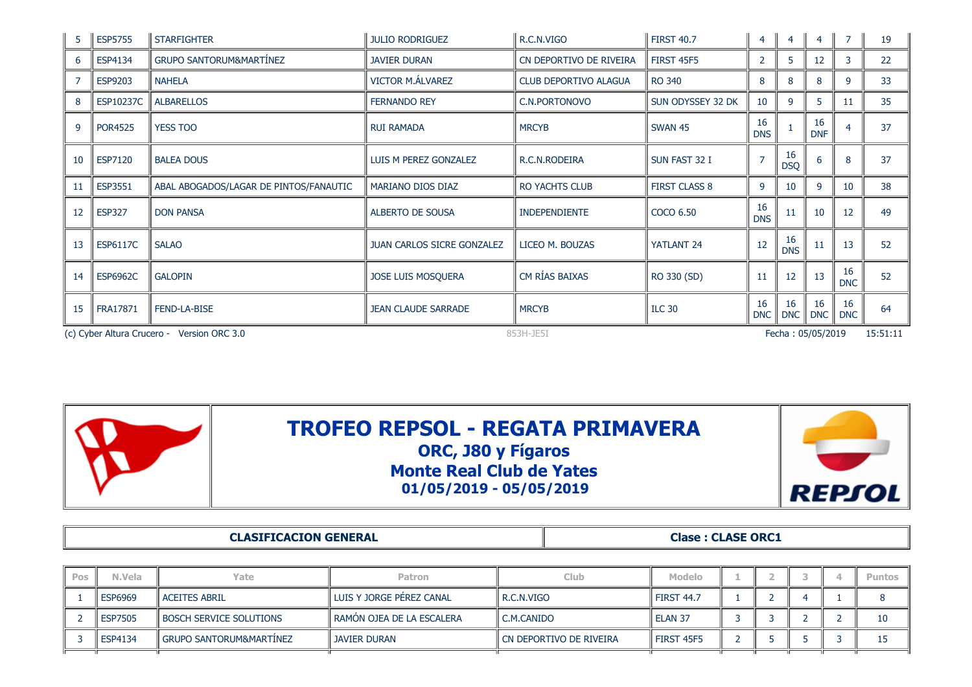| -5 | <b>ESP5755</b>                                                               | <b>STARFIGHTER</b>                     | JULIO RODRIGUEZ                   | R.C.N.VIGO              | <b>FIRST 40.7</b>    | $\overline{4}$   | $\overline{4}$   | 4                |                  | 19 |
|----|------------------------------------------------------------------------------|----------------------------------------|-----------------------------------|-------------------------|----------------------|------------------|------------------|------------------|------------------|----|
| 6  | ESP4134                                                                      | <b>GRUPO SANTORUM&amp;MARTINEZ</b>     | <b>JAVIER DURAN</b>               | CN DEPORTIVO DE RIVEIRA | <b>FIRST 45F5</b>    | 2                | 5                | 12               |                  | 22 |
|    | ESP9203                                                                      | NAHELA                                 | <b>VICTOR M.ALVAREZ</b>           | CLUB DEPORTIVO ALAGUA   | <b>RO 340</b>        | 8                | 8                | 8                | 9                | 33 |
| 8  | <b>ESP10237C</b>                                                             | <b>ALBARELLOS</b>                      | <b>FERNANDO REY</b>               | C.N.PORTONOVO           | SUN ODYSSEY 32 DK    | 10               | 9                | 5.               | 11               | 35 |
| 9  | <b>POR4525</b>                                                               | <b>YESS TOO</b>                        | <b>RUI RAMADA</b>                 | <b>MRCYB</b>            | <b>SWAN 45</b>       | 16<br><b>DNS</b> |                  | 16<br><b>DNF</b> |                  | 37 |
| 10 | ESP7120                                                                      | <b>BALEA DOUS</b>                      | LUIS M PEREZ GONZALEZ             | R.C.N.RODEIRA           | SUN FAST 32 I        |                  | 16<br><b>DSQ</b> | 6                |                  | 37 |
| 11 | <b>ESP3551</b>                                                               | ABAL ABOGADOS/LAGAR DE PINTOS/FANAUTIC | MARIANO DIOS DIAZ                 | <b>RO YACHTS CLUB</b>   | <b>FIRST CLASS 8</b> | 9                | 10               | 9                | 10               | 38 |
| 12 | <b>ESP327</b>                                                                | <b>DON PANSA</b>                       | ALBERTO DE SOUSA                  | <b>INDEPENDIENTE</b>    | COCO 6.50            | 16<br><b>DNS</b> | 11               | 10               | 12               | 49 |
| 13 | <b>ESP6117C</b>                                                              | <b>SALAO</b>                           | <b>JUAN CARLOS SICRE GONZALEZ</b> | LICEO M. BOUZAS         | YATLANT 24           | 12               | 16<br><b>DNS</b> | 11               | 13               | 52 |
| 14 | <b>ESP6962C</b>                                                              | <b>GALOPIN</b>                         | JOSE LUIS MOSQUERA                | CM RÍAS BAIXAS          | RO 330 (SD)          | 11               | 12               | 13               | 16<br><b>DNC</b> | 52 |
| 15 | FRA17871                                                                     | <b>FEND-LA-BISE</b>                    | <b>JEAN CLAUDE SARRADE</b>        | <b>MRCYB</b>            | <b>ILC 30</b>        | 16<br><b>DNC</b> | 16<br><b>DNC</b> | 16<br><b>DNC</b> | 16<br><b>DNC</b> | 64 |
|    | (c) Cyber Altura Crucero - Version ORC 3.0<br>Fecha: 05/05/2019<br>853H-JE5I |                                        |                                   |                         |                      |                  |                  |                  | 15:51:11         |    |



|     |                | <b>CLASIFICACION GENERAL</b>   |                             |               | <b>Clase: CLASE ORC1</b>  |                   |  |  |  |  |               |  |
|-----|----------------|--------------------------------|-----------------------------|---------------|---------------------------|-------------------|--|--|--|--|---------------|--|
|     |                |                                |                             |               |                           |                   |  |  |  |  |               |  |
| Pos | N.Vela         | Yate                           | <b>Patron</b>               |               | Club.                     | Modelo            |  |  |  |  | <b>Puntos</b> |  |
|     | <b>ESP6969</b> | l ACEITES ABRIL                | l LUIS Y JORGE PÉREZ CANAL  | l R.C.N.VIGO  |                           | <b>FIRST 44.7</b> |  |  |  |  |               |  |
|     | <b>ESP7505</b> | <b>BOSCH SERVICE SOLUTIONS</b> | l RAMÓN OJEA DE LA ESCALERA | ll C.M.CANIDO |                           | ELAN 37           |  |  |  |  | 10            |  |
|     | ESP4134        | l GRUPO SANTORUM&MARTINEZ      | <b>JAVIER DURAN</b>         |               | l CN DEPORTIVO DE RIVEIRA | <b>FIRST 45F5</b> |  |  |  |  |               |  |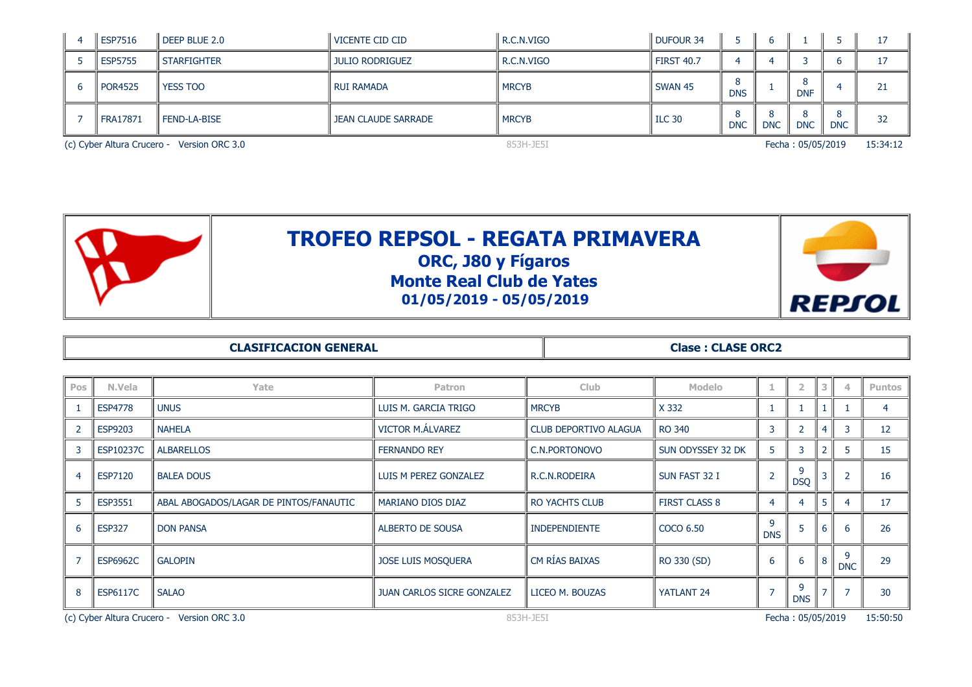|                                            | <b>ESP7516</b> | $\parallel$ DEEP BLUE 2.0 | <b>VICENTE CID CID</b> | R.C.N.VIGO   | <b>DUFOUR 34</b>  |            |            |                   |            | 17       |
|--------------------------------------------|----------------|---------------------------|------------------------|--------------|-------------------|------------|------------|-------------------|------------|----------|
|                                            | <b>ESP5755</b> | <b>STARFIGHTER</b>        | JULIO RODRIGUEZ        | R.C.N.VIGO   | <b>FIRST 40.7</b> |            |            |                   |            | 17       |
|                                            | <b>POR4525</b> | <b>YESS TOO</b>           | I RUI RAMADA           | <b>MRCYB</b> | SWAN 45           | <b>DNS</b> |            | 8<br><b>DNF</b>   |            | 21       |
|                                            | FRA17871       | FEND-LA-BISE              | JEAN CLAUDE SARRADE    | <b>MRCYB</b> | <b>ILC 30</b>     | <b>DNC</b> | <b>DNC</b> | <b>DNC</b>        | <b>DNC</b> | 32       |
| (c) Cyber Altura Crucero - Version ORC 3.0 |                |                           |                        | 853H-JE5I    |                   |            |            | Fecha: 05/05/2019 |            | 15:34:12 |

| <b>TROFEO REPSOL - REGATA PRIMAVERA</b><br>ORC, J80 y Fígaros<br><b>Monte Real Club de Yates</b><br>$01/05/2019 - 05/05/2019$ | <b>REPTOL</b> |
|-------------------------------------------------------------------------------------------------------------------------------|---------------|
|                                                                                                                               |               |

| <b>CLASIFICACION GENERAL</b> |  |
|------------------------------|--|
|------------------------------|--|

**Clase : CLASE ORC2** 

| Pos | N.Vela                                                  | Yate                                   | <b>Patron</b>                     | <b>Club</b>                  | <b>Modelo</b>        |                 | $\overline{2}$    |   |                 | <b>Puntos</b> |
|-----|---------------------------------------------------------|----------------------------------------|-----------------------------------|------------------------------|----------------------|-----------------|-------------------|---|-----------------|---------------|
|     | <b>ESP4778</b>                                          | <b>UNUS</b>                            | LUIS M. GARCIA TRIGO              | <b>MRCYB</b>                 | X 332                |                 |                   |   |                 |               |
|     | ESP9203                                                 | <b>NAHELA</b>                          | VICTOR M.ÁLVAREZ                  | <b>CLUB DEPORTIVO ALAGUA</b> | RO 340               | 3               |                   |   |                 | 12            |
|     | ESP10237C                                               | <b>ALBARELLOS</b>                      | <b>FERNANDO REY</b>               | C.N.PORTONOVO                | SUN ODYSSEY 32 DK    | 5               | 3                 |   |                 | 15            |
| 4   | ESP7120                                                 | <b>BALEA DOUS</b>                      | LUIS M PEREZ GONZALEZ             | R.C.N.RODEIRA                | SUN FAST 32 I        | $\overline{2}$  | 9<br><b>DSQ</b>   |   | $\overline{2}$  | 16            |
| 5   | ESP3551                                                 | ABAL ABOGADOS/LAGAR DE PINTOS/FANAUTIC | MARIANO DIOS DIAZ                 | <b>RO YACHTS CLUB</b>        | <b>FIRST CLASS 8</b> | $\overline{4}$  | 4                 |   |                 | 17            |
| 6   | <b>ESP327</b>                                           | <b>DON PANSA</b>                       | <b>ALBERTO DE SOUSA</b>           | <b>INDEPENDIENTE</b>         | COCO 6.50            | 9<br><b>DNS</b> | ь                 | b | 6               | 26            |
|     | <b>ESP6962C</b>                                         | <b>GALOPIN</b>                         | <b>JOSE LUIS MOSQUERA</b>         | CM RÍAS BAIXAS               | RO 330 (SD)          | 6               | 6                 |   | 9<br><b>DNC</b> | 29            |
| 8   | <b>ESP6117C</b>                                         | <b>SALAO</b>                           | <b>JUAN CARLOS SICRE GONZALEZ</b> | LICEO M. BOUZAS              | YATLANT 24           |                 | 9<br><b>DNS</b>   |   |                 | 30            |
|     | (c) Cyber Altura Crucero - Version ORC 3.0<br>853H-JE5I |                                        |                                   |                              |                      |                 | Fecha: 05/05/2019 |   |                 | 15:50:50      |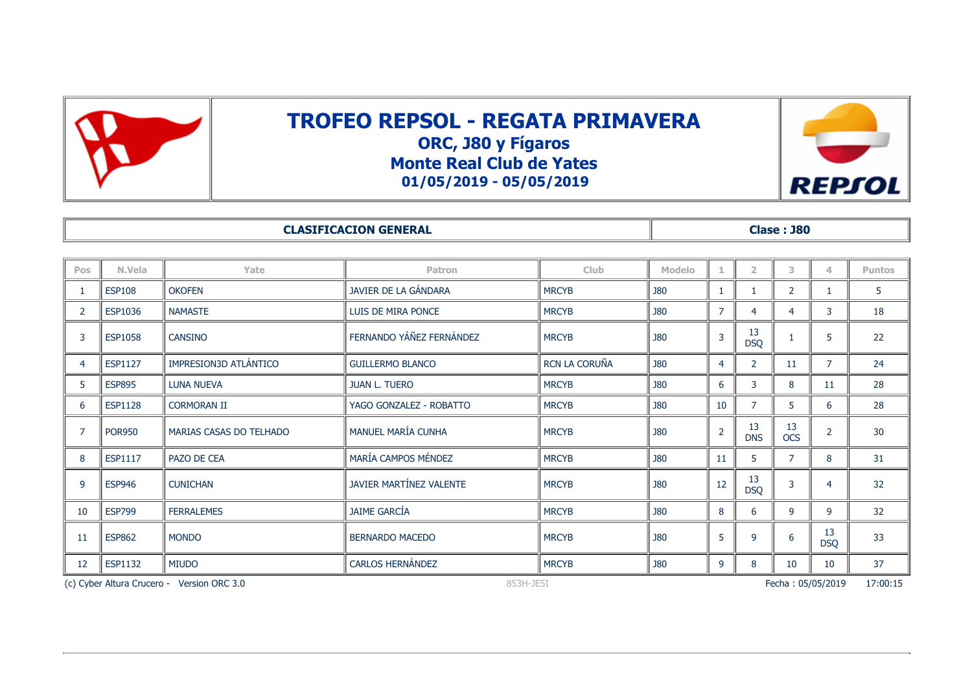



|     |                |                | <b>CLASIFICACION GENERAL</b> |              |            |                 | <b>Clase: J80</b> |               |
|-----|----------------|----------------|------------------------------|--------------|------------|-----------------|-------------------|---------------|
|     |                |                |                              |              |            |                 |                   |               |
| Pos | N.Vela         | Yate           | <b>Patron</b>                | Club.        | Modelo     |                 |                   | <b>Puntos</b> |
|     | <b>ESP108</b>  | <b>OKOFEN</b>  | JAVIER DE LA GÁNDARA         | <b>MRCYB</b> | <b>J80</b> |                 |                   |               |
|     | <b>ESP1036</b> | <b>NAMASTE</b> | LUIS DE MIRA PONCE           | <b>MRCYB</b> | <b>J80</b> |                 |                   | 18            |
|     | <b>ESP1058</b> | <b>CANSINO</b> | FERNANDO YÁÑEZ FERNÁNDEZ     | <b>MRCYB</b> | <b>J80</b> | D <sub>CO</sub> |                   | つつ            |

|    |                                                         |                         | FERNANDO YÁÑEZ FERNÁNDEZ |               |            |                | 13               |                  |                   |                 |
|----|---------------------------------------------------------|-------------------------|--------------------------|---------------|------------|----------------|------------------|------------------|-------------------|-----------------|
| В  | <b>ESP1058</b>                                          | <b>CANSINO</b>          |                          | <b>MRCYB</b>  | <b>J80</b> | $\overline{3}$ | <b>DSQ</b>       |                  | 5                 | 22              |
| 4  | <b>ESP1127</b>                                          | IMPRESION3D ATLÁNTICO   | <b>GUILLERMO BLANCO</b>  | RCN LA CORUÑA | <b>J80</b> | $\overline{4}$ |                  | 11               |                   | 24              |
| 5. | <b>ESP895</b>                                           | <b>LUNA NUEVA</b>       | <b>JUAN L. TUERO</b>     | <b>MRCYB</b>  | <b>J80</b> | 6              | 3                | 8                | 11                | 28              |
| 6  | <b>ESP1128</b>                                          | <b>CORMORAN II</b>      | YAGO GONZALEZ - ROBATTO  | <b>MRCYB</b>  | J80        | 10             |                  | 5                | 6                 | 28              |
|    | <b>POR950</b>                                           | MARIAS CASAS DO TELHADO | MANUEL MARÍA CUNHA       | <b>MRCYB</b>  | J80        | $\overline{2}$ | 13<br><b>DNS</b> | 13<br><b>OCS</b> |                   | 30              |
|    |                                                         |                         |                          |               |            |                |                  |                  |                   |                 |
| 8  | ESP1117                                                 | PAZO DE CEA             | MARÍA CAMPOS MÉNDEZ      | <b>MRCYB</b>  | J80        | 11             | 5                | $\overline{7}$   | 8                 | 31              |
| 9  | <b>ESP946</b>                                           | <b>CUNICHAN</b>         | JAVIER MARTÍNEZ VALENTE  | <b>MRCYB</b>  | J80        | 12             | 13               | 3                | 4                 | 32 <sup>2</sup> |
|    |                                                         |                         |                          |               |            |                | <b>DSQ</b>       |                  |                   |                 |
| 10 | <b>ESP799</b>                                           | <b>FERRALEMES</b>       | <b>JAIME GARCÍA</b>      | <b>MRCYB</b>  | <b>J80</b> | 8              | 6                | 9                | 9                 | 32              |
| 11 | <b>ESP862</b>                                           | <b>MONDO</b>            | <b>BERNARDO MACEDO</b>   | <b>MRCYB</b>  | <b>J80</b> | 5              | $\mathsf{q}$     | 6                | 13                | 33              |
|    |                                                         |                         |                          |               |            |                |                  |                  | <b>DSQ</b>        |                 |
| 12 | <b>ESP1132</b>                                          | <b>MIUDO</b>            | <b>CARLOS HERNÁNDEZ</b>  | <b>MRCYB</b>  | <b>J80</b> | 9              | 8                | 10               | 10                | 37              |
|    | (c) Cyber Altura Crucero - Version ORC 3.0<br>853H-JE5I |                         |                          |               |            |                |                  |                  | Fecha: 05/05/2019 | 17:00:15        |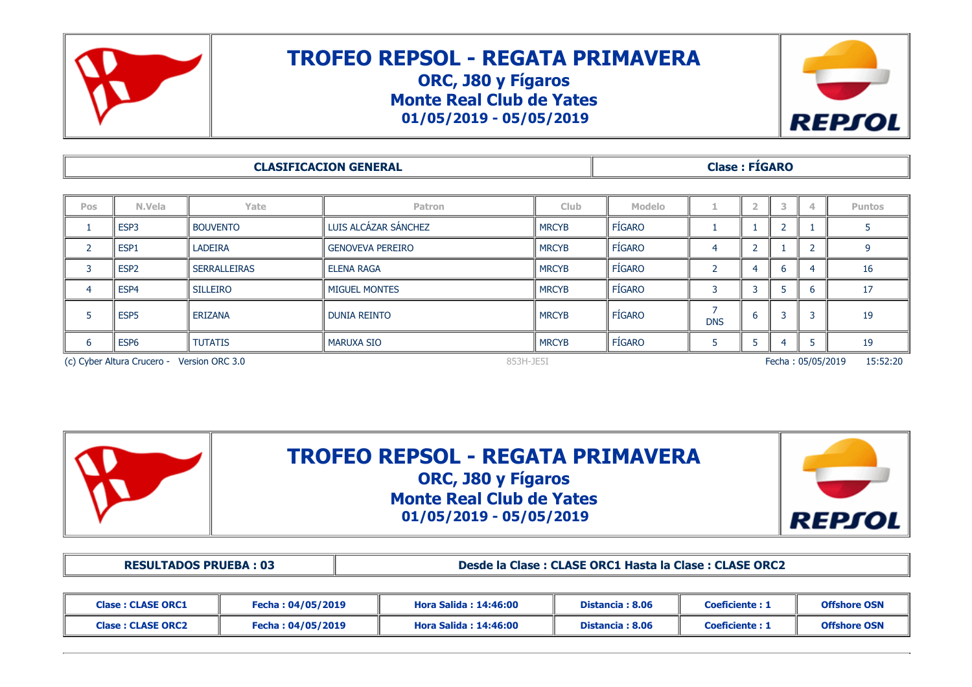

## **TROFEO REPSOL - REGATA PRIMAVERA ORC, J80 y Fígaros Monte Real Club de Yates**

**01/05/2019 - 05/05/2019**



|            |                                                                                          |                     | <b>CLASIFICACION GENERAL</b> |              | <b>Clase: FIGARO</b> |            |   |   |   |               |  |
|------------|------------------------------------------------------------------------------------------|---------------------|------------------------------|--------------|----------------------|------------|---|---|---|---------------|--|
|            |                                                                                          |                     |                              |              |                      |            |   |   |   |               |  |
| <b>Pos</b> | N.Vela                                                                                   | Yate                | Patron                       | <b>Club</b>  | Modelo               |            |   |   | 4 | <b>Puntos</b> |  |
|            | ESP3                                                                                     | <b>BOUVENTO</b>     | LUIS ALCÁZAR SÁNCHEZ         | <b>MRCYB</b> | FÍGARO               |            |   |   |   |               |  |
|            | ESP1                                                                                     | <b>LADEIRA</b>      | <b>GENOVEVA PEREIRO</b>      | <b>MRCYB</b> | <b>FÍGARO</b>        | 4          |   |   |   |               |  |
| 3          | ESP <sub>2</sub>                                                                         | <b>SERRALLEIRAS</b> | <b>ELENA RAGA</b>            | <b>MRCYB</b> | <b>FÍGARO</b>        |            |   | h | 4 | 16            |  |
| 4          | ESP4                                                                                     | <b>SILLEIRO</b>     | <b>MIGUEL MONTES</b>         | <b>MRCYB</b> | FÍGARO               | 3          |   | D | b | 17            |  |
|            | ESP <sub>5</sub>                                                                         | <b>ERIZANA</b>      | <b>DUNIA REINTO</b>          | <b>MRCYB</b> | <b>FÍGARO</b>        | <b>DNS</b> | b |   | 3 | 19            |  |
| 6          | ESP <sub>6</sub>                                                                         | <b>TUTATIS</b>      | <b>MARUXA SIO</b>            | <b>MRCYB</b> | FÍGARO               |            |   | 4 |   | 19            |  |
|            | 15:52:20<br>(c) Cyber Altura Crucero - Version ORC 3.0<br>853H-JE5I<br>Fecha: 05/05/2019 |                     |                              |              |                      |            |   |   |   |               |  |



**TROFEO REPSOL - REGATA PRIMAVERA ORC, J80 y Fígaros Monte Real Club de Yates 01/05/2019 - 05/05/2019**



**RESULTADOS PRUEBA : 03 Desde la Clase : CLASE ORC1 Hasta la Clase : CLASE ORC2**

| <b>Clase: CLASE ORC1</b> | Fecha : 04/05/2019 | Hora Salida : 14:46:00 | Distancia: 8.06 | <b>Coeficiente: 1</b> | <b>Offshore OSN</b> |
|--------------------------|--------------------|------------------------|-----------------|-----------------------|---------------------|
| <b>Clase: CLASE ORC2</b> | Fecha : 04/05/2019 | Hora Salida : 14:46:00 | Distancia: 8.06 | <b>Coeficiente: 1</b> | <b>Offshore OSN</b> |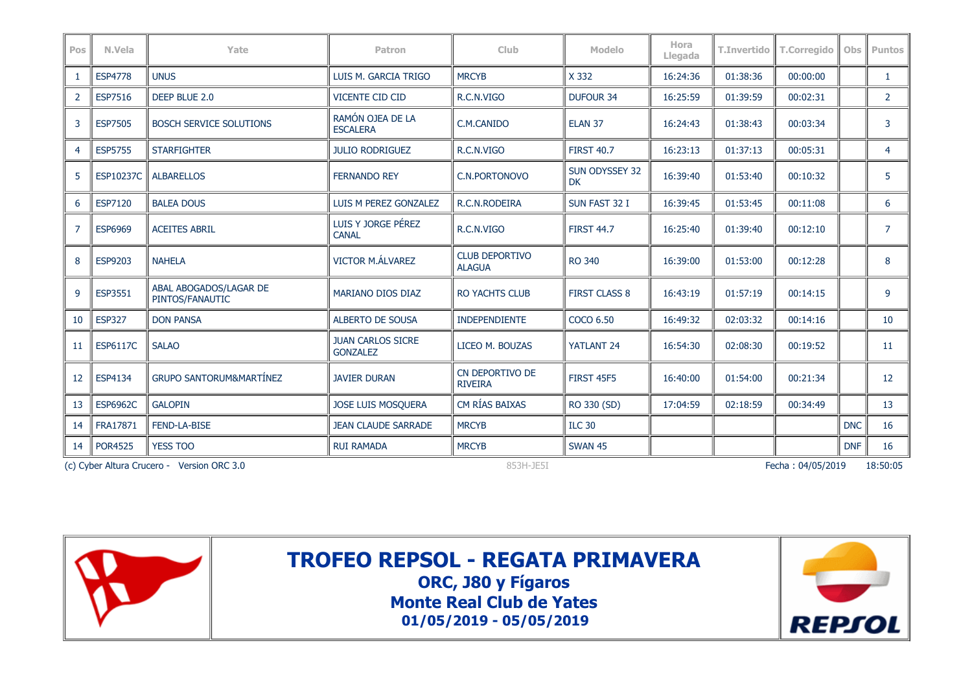| Pos | N.Vela          | Yate                                       | <b>Patron</b>                               | <b>Club</b>                            | <b>Modelo</b>                      | Hora<br>Llegada | T.Invertido | <b>T.Corregido</b> | Obs        | <b>Puntos</b>  |
|-----|-----------------|--------------------------------------------|---------------------------------------------|----------------------------------------|------------------------------------|-----------------|-------------|--------------------|------------|----------------|
|     | <b>ESP4778</b>  | <b>UNUS</b>                                | LUIS M. GARCIA TRIGO                        | <b>MRCYB</b>                           | X 332                              | 16:24:36        | 01:38:36    | 00:00:00           |            |                |
| 2   | <b>ESP7516</b>  | DEEP BLUE 2.0                              | <b>VICENTE CID CID</b>                      | R.C.N.VIGO                             | <b>DUFOUR 34</b>                   | 16:25:59        | 01:39:59    | 00:02:31           |            | $\overline{2}$ |
| 3   | <b>ESP7505</b>  | <b>BOSCH SERVICE SOLUTIONS</b>             | RAMÓN OJEA DE LA<br><b>ESCALERA</b>         | C.M.CANIDO                             | ELAN <sub>37</sub>                 | 16:24:43        | 01:38:43    | 00:03:34           |            | 3              |
| 4   | <b>ESP5755</b>  | <b>STARFIGHTER</b>                         | <b>JULIO RODRIGUEZ</b>                      | R.C.N.VIGO                             | <b>FIRST 40.7</b>                  | 16:23:13        | 01:37:13    | 00:05:31           |            | $\overline{4}$ |
| 5   | ESP10237C       | <b>ALBARELLOS</b>                          | <b>FERNANDO REY</b>                         | <b>C.N.PORTONOVO</b>                   | <b>SUN ODYSSEY 32</b><br><b>DK</b> | 16:39:40        | 01:53:40    | 00:10:32           |            | 5              |
| 6   | <b>ESP7120</b>  | <b>BALEA DOUS</b>                          | LUIS M PEREZ GONZALEZ                       | R.C.N.RODEIRA                          | SUN FAST 32 I                      | 16:39:45        | 01:53:45    | 00:11:08           |            | 6              |
|     | <b>ESP6969</b>  | <b>ACEITES ABRIL</b>                       | LUIS Y JORGE PÉREZ<br><b>CANAL</b>          | R.C.N.VIGO                             | <b>FIRST 44.7</b>                  | 16:25:40        | 01:39:40    | 00:12:10           |            | $\overline{7}$ |
| 8   | <b>ESP9203</b>  | <b>NAHELA</b>                              | <b>VICTOR M.ÁLVAREZ</b>                     | <b>CLUB DEPORTIVO</b><br><b>ALAGUA</b> | <b>RO 340</b>                      | 16:39:00        | 01:53:00    | 00:12:28           |            | 8              |
| 9   | <b>ESP3551</b>  | ABAL ABOGADOS/LAGAR DE<br>PINTOS/FANAUTIC  | MARIANO DIOS DIAZ                           | <b>RO YACHTS CLUB</b>                  | <b>FIRST CLASS 8</b>               | 16:43:19        | 01:57:19    | 00:14:15           |            | 9              |
| 10  | <b>ESP327</b>   | <b>DON PANSA</b>                           | <b>ALBERTO DE SOUSA</b>                     | <b>INDEPENDIENTE</b>                   | COCO 6.50                          | 16:49:32        | 02:03:32    | 00:14:16           |            | 10             |
| 11  | <b>ESP6117C</b> | <b>SALAO</b>                               | <b>JUAN CARLOS SICRE</b><br><b>GONZALEZ</b> | LICEO M. BOUZAS                        | YATLANT 24                         | 16:54:30        | 02:08:30    | 00:19:52           |            | 11             |
| 12  | ESP4134         | <b>GRUPO SANTORUM&amp;MARTÍNEZ</b>         | <b>JAVIER DURAN</b>                         | CN DEPORTIVO DE<br><b>RIVEIRA</b>      | <b>FIRST 45F5</b>                  | 16:40:00        | 01:54:00    | 00:21:34           |            | 12             |
| 13  | <b>ESP6962C</b> | <b>GALOPIN</b>                             | JOSE LUIS MOSQUERA                          | CM RÍAS BAIXAS                         | RO 330 (SD)                        | 17:04:59        | 02:18:59    | 00:34:49           |            | 13             |
| 14  | FRA17871        | FEND-LA-BISE                               | <b>JEAN CLAUDE SARRADE</b>                  | <b>MRCYB</b>                           | <b>ILC 30</b>                      |                 |             |                    | <b>DNC</b> | 16             |
| 14  | <b>POR4525</b>  | <b>YESS TOO</b>                            | <b>RUI RAMADA</b>                           | <b>MRCYB</b>                           | <b>SWAN 45</b>                     |                 |             |                    | <b>DNF</b> | 16             |
|     |                 | (c) Cyber Altura Crucero - Version ORC 3.0 |                                             | 853H-JE5I                              |                                    |                 |             | Fecha: 04/05/2019  |            | 18:50:05       |





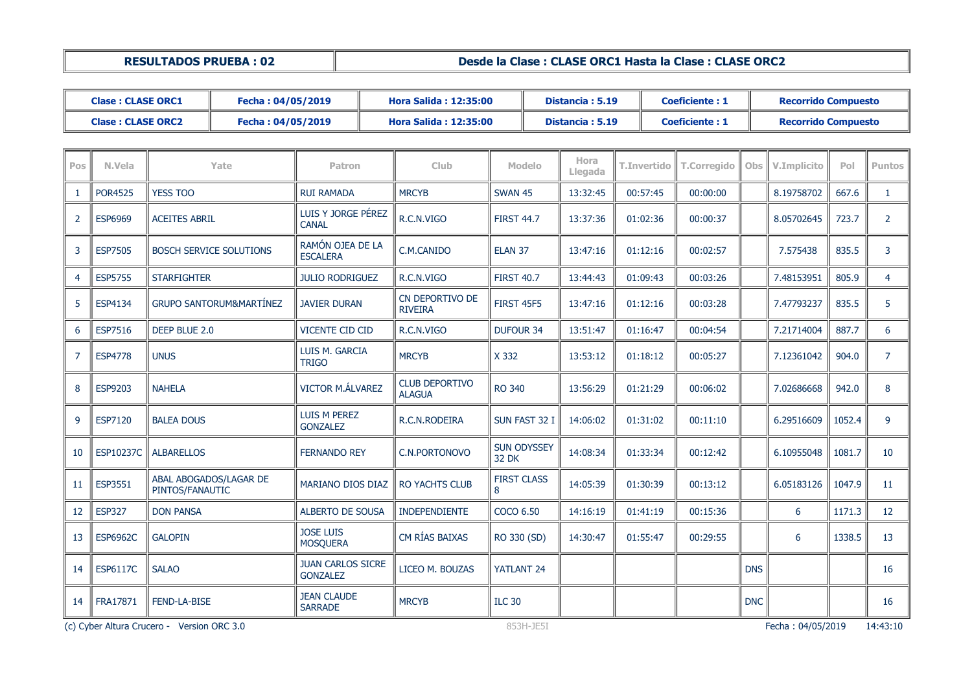**RESULTADOS PRUEBA : 02 Desde la Clase : CLASE ORC1 Hasta la Clase : CLASE ORC2**

|                | <b>Clase: CLASE ORC1</b> |                      | Fecha: 04/05/2019                  |                                             |                                  | <b>Hora Salida: 12:35:00</b>           |                             |          | Distancia: 5.19 |             | <b>Coeficiente: 1</b> |            | <b>Recorrido Compuesto</b> |        |                |
|----------------|--------------------------|----------------------|------------------------------------|---------------------------------------------|----------------------------------|----------------------------------------|-----------------------------|----------|-----------------|-------------|-----------------------|------------|----------------------------|--------|----------------|
|                | <b>Clase: CLASE ORC2</b> |                      | Fecha: 04/05/2019                  |                                             |                                  | <b>Hora Salida: 12:35:00</b>           |                             |          | Distancia: 5.19 |             | <b>Coeficiente: 1</b> |            | <b>Recorrido Compuesto</b> |        |                |
|                |                          |                      |                                    |                                             |                                  |                                        |                             |          |                 |             |                       |            |                            |        |                |
| <b>Pos</b>     | N.Vela                   |                      | Yate                               | Patron                                      |                                  | Club                                   | <b>Modelo</b>               |          | Hora<br>Llegada | T.Invertido | <b>T.Corregido</b>    | <b>Obs</b> | V.Implicito                | Pol    | <b>Puntos</b>  |
| $\mathbf{1}$   | <b>POR4525</b>           | <b>YESS TOO</b>      |                                    | <b>RUI RAMADA</b>                           |                                  | <b>MRCYB</b>                           | <b>SWAN 45</b>              | 13:32:45 |                 | 00:57:45    | 00:00:00              |            | 8.19758702                 | 667.6  | $\mathbf{1}$   |
| $\overline{2}$ | <b>ESP6969</b>           | <b>ACEITES ABRIL</b> |                                    | <b>CANAL</b>                                | LUIS Y JORGE PÉREZ<br>R.C.N.VIGO |                                        | <b>FIRST 44.7</b>           |          | 13:37:36        | 01:02:36    | 00:00:37              |            | 8.05702645                 | 723.7  | $\overline{2}$ |
| 3              | <b>ESP7505</b>           |                      | <b>BOSCH SERVICE SOLUTIONS</b>     | <b>ESCALERA</b>                             | RAMÓN OJEA DE LA<br>C.M.CANIDO   |                                        | ELAN <sub>37</sub>          |          | 13:47:16        | 01:12:16    | 00:02:57              |            | 7.575438                   | 835.5  | 3              |
| $\overline{4}$ | <b>ESP5755</b>           | <b>STARFIGHTER</b>   |                                    | <b>JULIO RODRIGUEZ</b>                      |                                  | R.C.N.VIGO                             | <b>FIRST 40.7</b>           |          | 13:44:43        | 01:09:43    | 00:03:26              |            | 7.48153951                 | 805.9  | 4              |
| 5              | <b>ESP4134</b>           |                      | <b>GRUPO SANTORUM&amp;MARTÍNEZ</b> | <b>JAVIER DURAN</b>                         |                                  | CN DEPORTIVO DE<br><b>RIVEIRA</b>      | <b>FIRST 45F5</b>           |          | 13:47:16        | 01:12:16    | 00:03:28              |            | 7.47793237                 | 835.5  | 5              |
| 6              | ESP7516                  | DEEP BLUE 2.0        |                                    | VICENTE CID CID                             |                                  | R.C.N.VIGO                             | <b>DUFOUR 34</b>            |          | 13:51:47        | 01:16:47    | 00:04:54              |            | 7.21714004                 | 887.7  | 6              |
| $\overline{7}$ | <b>ESP4778</b>           | <b>UNUS</b>          |                                    | LUIS M. GARCIA<br><b>TRIGO</b>              |                                  | <b>MRCYB</b>                           | X 332                       |          | 13:53:12        | 01:18:12    | 00:05:27              |            | 7.12361042                 | 904.0  | $\overline{7}$ |
| 8              | <b>ESP9203</b>           | <b>NAHELA</b>        |                                    | <b>VICTOR M.ÁLVAREZ</b>                     |                                  | <b>CLUB DEPORTIVO</b><br><b>ALAGUA</b> | <b>RO 340</b>               |          | 13:56:29        | 01:21:29    | 00:06:02              |            | 7.02686668                 | 942.0  | 8              |
| 9              | ESP7120                  | <b>BALEA DOUS</b>    |                                    | LUIS M PEREZ<br><b>GONZALEZ</b>             |                                  | R.C.N.RODEIRA                          | SUN FAST 32 I               |          | 14:06:02        | 01:31:02    | 00:11:10              |            | 6.29516609                 | 1052.4 | 9              |
| 10             | <b>ESP10237C</b>         | <b>ALBARELLOS</b>    |                                    | <b>FERNANDO REY</b>                         |                                  | C.N.PORTONOVO                          | <b>SUN ODYSSEY</b><br>32 DK |          | 14:08:34        | 01:33:34    | 00:12:42              |            | 6.10955048                 | 1081.7 | 10             |
| 11             | ESP3551                  | PINTOS/FANAUTIC      | ABAL ABOGADOS/LAGAR DE             | MARIANO DIOS DIAZ                           |                                  | <b>RO YACHTS CLUB</b>                  | <b>FIRST CLASS</b><br>8     |          | 14:05:39        | 01:30:39    | 00:13:12              |            | 6.05183126                 | 1047.9 | 11             |
| 12             | <b>ESP327</b>            | <b>DON PANSA</b>     |                                    | <b>ALBERTO DE SOUSA</b>                     |                                  | <b>INDEPENDIENTE</b>                   | COCO 6.50                   |          | 14:16:19        | 01:41:19    | 00:15:36              |            | 6                          | 1171.3 | 12             |
| 13             | <b>ESP6962C</b>          | <b>GALOPIN</b>       |                                    | <b>JOSE LUIS</b><br><b>MOSQUERA</b>         |                                  | CM RÍAS BAIXAS                         | RO 330 (SD)                 |          | 14:30:47        | 01:55:47    | 00:29:55              |            | 6                          | 1338.5 | 13             |
| 14             | <b>ESP6117C</b>          | <b>SALAO</b>         |                                    | <b>JUAN CARLOS SICRE</b><br><b>GONZALEZ</b> |                                  | LICEO M. BOUZAS                        | YATLANT 24                  |          |                 |             |                       | <b>DNS</b> |                            |        | 16             |
| 14             | FRA17871                 | <b>FEND-LA-BISE</b>  |                                    | <b>JEAN CLAUDE</b><br><b>SARRADE</b>        |                                  | <b>MRCYB</b>                           | <b>ILC 30</b>               |          |                 |             |                       | <b>DNC</b> |                            |        | 16             |

(c) Cyber Altura Crucero - Version ORC 3.0 853H-JE5I 853H-JE5I 853H-JE5I Fecha : 04/05/2019 14:43:10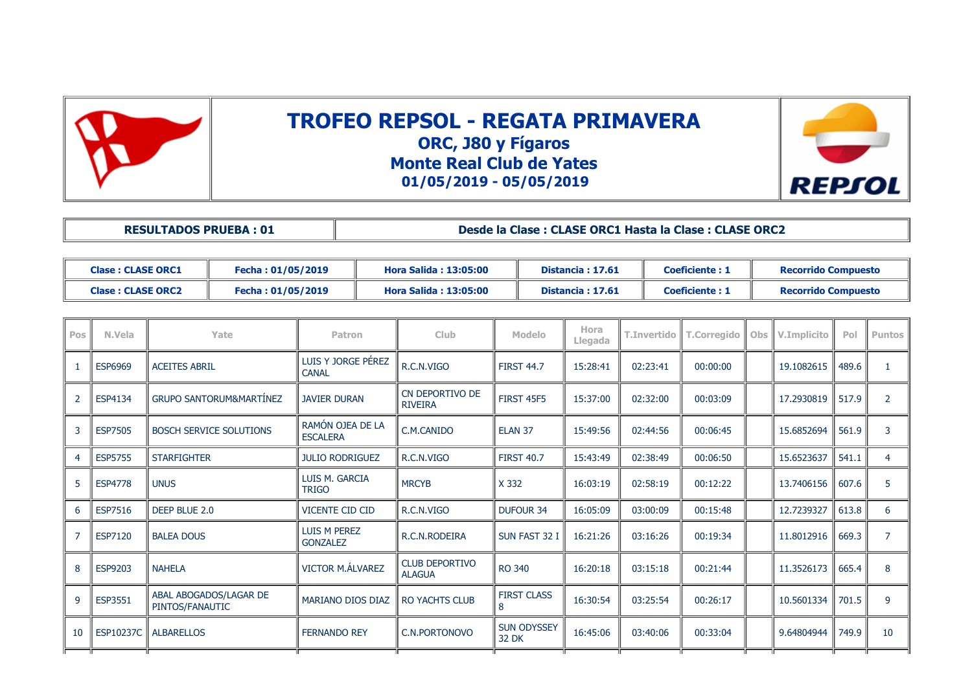



| <b>RESULTADOS PRUEBA: 01</b> | Desde la Clase : CLASE ORC1 Hasta la Clase : CLASE ORC2 |
|------------------------------|---------------------------------------------------------|
|                              |                                                         |

| <b>Clase: CLASE ORC1</b> | Fecha : 01/05/2019 | Hora Salida : 13:05:00       | Distancia: 17.61 | <b>Coeficiente: 1</b> | <b>Recorrido Compuesto</b> |
|--------------------------|--------------------|------------------------------|------------------|-----------------------|----------------------------|
| <b>Clase: CLASE ORC2</b> | Fecha: 01/05/2019  | <b>Hora Salida: 13:05:00</b> | Distancia: 17.61 | Coeficiente: 1        | <b>Recorrido Compuesto</b> |

| Pos            | N.Vela         | Yate                                      | <b>Patron</b>                          | <b>Club</b>                            | Modelo                      | Hora<br>Llegada | <b>T.Invertido</b> | <b>T.Corregido</b> | Obs | V.Implicito | Pol   | <b>Puntos</b>  |
|----------------|----------------|-------------------------------------------|----------------------------------------|----------------------------------------|-----------------------------|-----------------|--------------------|--------------------|-----|-------------|-------|----------------|
| $\mathbf{1}$   | <b>ESP6969</b> | <b>ACEITES ABRIL</b>                      | LUIS Y JORGE PÉREZ<br><b>CANAL</b>     | R.C.N.VIGO                             | <b>FIRST 44.7</b>           | 15:28:41        | 02:23:41           | 00:00:00           |     | 19.1082615  | 489.6 |                |
| $\overline{2}$ | ESP4134        | <b>GRUPO SANTORUM&amp;MARTÍNEZ</b>        | <b>JAVIER DURAN</b>                    | CN DEPORTIVO DE<br><b>RIVEIRA</b>      | <b>FIRST 45F5</b>           | 15:37:00        | 02:32:00           | 00:03:09           |     | 17.2930819  | 517.9 | 2              |
| 3              | <b>ESP7505</b> | <b>BOSCH SERVICE SOLUTIONS</b>            | RAMÓN OJEA DE LA<br><b>ESCALERA</b>    | C.M.CANIDO                             | ELAN <sub>37</sub>          | 15:49:56        | 02:44:56           | 00:06:45           |     | 15.6852694  | 561.9 | $\overline{3}$ |
| 4              | <b>ESP5755</b> | <b>STARFIGHTER</b>                        | <b>JULIO RODRIGUEZ</b>                 | R.C.N.VIGO                             | <b>FIRST 40.7</b>           | 15:43:49        | 02:38:49           | 00:06:50           |     | 15.6523637  | 541.1 | $\overline{4}$ |
| 5              | <b>ESP4778</b> | <b>UNUS</b>                               | LUIS M. GARCIA<br><b>TRIGO</b>         | <b>MRCYB</b>                           | X 332                       | 16:03:19        | 02:58:19           | 00:12:22           |     | 13.7406156  | 607.6 | 5              |
| 6              | <b>ESP7516</b> | DEEP BLUE 2.0                             | <b>VICENTE CID CID</b>                 | R.C.N.VIGO                             | <b>DUFOUR 34</b>            | 16:05:09        | 03:00:09           | 00:15:48           |     | 12.7239327  | 613.8 | 6              |
| $\overline{7}$ | <b>ESP7120</b> | <b>BALEA DOUS</b>                         | <b>LUIS M PEREZ</b><br><b>GONZALEZ</b> | R.C.N.RODEIRA                          | SUN FAST 32 I               | 16:21:26        | 03:16:26           | 00:19:34           |     | 11.8012916  | 669.3 | $\overline{7}$ |
| 8              | <b>ESP9203</b> | <b>NAHELA</b>                             | <b>VICTOR M.ÁLVAREZ</b>                | <b>CLUB DEPORTIVO</b><br><b>ALAGUA</b> | <b>RO 340</b>               | 16:20:18        | 03:15:18           | 00:21:44           |     | 11.3526173  | 665.4 | 8              |
| $\overline{9}$ | ESP3551        | ABAL ABOGADOS/LAGAR DE<br>PINTOS/FANAUTIC | <b>MARIANO DIOS DIAZ</b>               | <b>RO YACHTS CLUB</b>                  | <b>FIRST CLASS</b><br>8     | 16:30:54        | 03:25:54           | 00:26:17           |     | 10.5601334  | 701.5 | $\mathsf{q}$   |
| 10             | ESP10237C      | <b>ALBARELLOS</b>                         | <b>FERNANDO REY</b>                    | C.N.PORTONOVO                          | <b>SUN ODYSSEY</b><br>32 DK | 16:45:06        | 03:40:06           | 00:33:04           |     | 9.64804944  | 749.9 | 10             |
|                |                |                                           |                                        |                                        |                             |                 |                    |                    |     |             |       |                |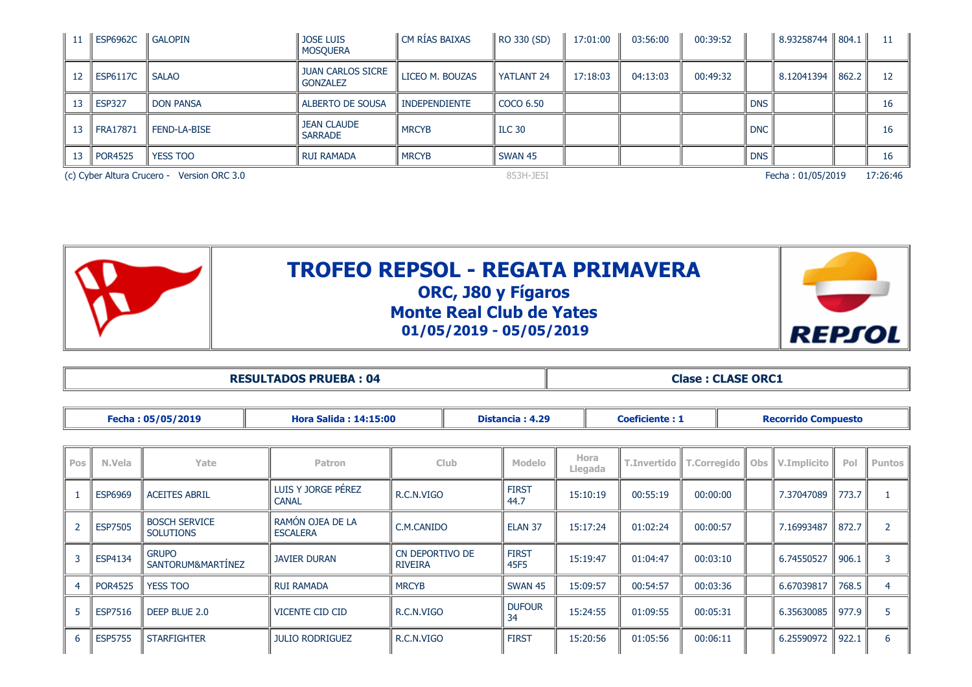| -11 | <b>ESP6962C</b> | l GALOPIN                                  | <b>JOSE LUIS</b><br><b>MOSQUERA</b>         | l CM RÍAS BAIXAS     | RO 330 (SD)       | 17:01:00 | 03:56:00 | 00:39:52 |            | 8.93258744   804.1 |       | 11       |
|-----|-----------------|--------------------------------------------|---------------------------------------------|----------------------|-------------------|----------|----------|----------|------------|--------------------|-------|----------|
| 12  | <b>ESP6117C</b> | <b>SALAO</b>                               | <b>JUAN CARLOS SICRE</b><br><b>GONZALEZ</b> | LICEO M. BOUZAS      | <b>YATLANT 24</b> | 17:18:03 | 04:13:03 | 00:49:32 |            | 8.12041394         | 862.2 | 12       |
| 13  | <b>ESP327</b>   | <b>DON PANSA</b>                           | ALBERTO DE SOUSA                            | <b>INDEPENDIENTE</b> | <b>COCO 6.50</b>  |          |          |          | DNS        |                    |       | 16       |
| 13  | <b>FRA17871</b> | <b>FEND-LA-BISE</b>                        | <b>JEAN CLAUDE</b><br><b>SARRADE</b>        | <b>MRCYB</b>         | <b>ILC 30</b>     |          |          |          | <b>DNC</b> |                    |       | 16       |
| 13  | <b>POR4525</b>  | <b>YESS TOO</b>                            | <b>RUI RAMADA</b>                           | <b>MRCYB</b>         | SWAN 45           |          |          |          | <b>DNS</b> |                    |       | 16       |
|     |                 | (c) Cyber Altura Crucero - Version ORC 3.0 |                                             |                      | 853H-JE5I         |          |          |          |            | Fecha: 01/05/2019  |       | 17:26:46 |



**RESULTADOS PRUEBA : 04 Clase : CLASE ORC1** 

|     | Fecha: 05/05/2019<br><b>Hora Salida: 14:15:00</b> |                                          |                                     |                                   | Distancia: 4.29<br><b>Coeficiente: 1</b> |                      |                 |                    |                    | <b>Recorrido Compuesto</b> |             |       |               |  |  |
|-----|---------------------------------------------------|------------------------------------------|-------------------------------------|-----------------------------------|------------------------------------------|----------------------|-----------------|--------------------|--------------------|----------------------------|-------------|-------|---------------|--|--|
|     |                                                   |                                          |                                     |                                   |                                          |                      |                 |                    |                    |                            |             |       |               |  |  |
| Pos | N.Vela                                            | Yate                                     | <b>Patron</b>                       |                                   | <b>Club</b>                              |                      | Hora<br>Llegada | <b>T.Invertido</b> | <b>T.Corregido</b> | Obs                        | V.Implicito | Pol   | <b>Puntos</b> |  |  |
|     | <b>ESP6969</b>                                    | <b>ACEITES ABRIL</b>                     | LUIS Y JORGE PÉREZ<br><b>CANAL</b>  | R.C.N.VIGO                        |                                          |                      | 15:10:19        | 00:55:19           | 00:00:00           |                            | 7.37047089  | 773.7 |               |  |  |
|     | <b>ESP7505</b>                                    | <b>BOSCH SERVICE</b><br><b>SOLUTIONS</b> | RAMÓN OJEA DE LA<br><b>ESCALERA</b> |                                   | C.M.CANIDO<br>ELAN <sub>37</sub>         |                      | 15:17:24        | 01:02:24           | 00:00:57           |                            | 7.16993487  | 872.7 | 2             |  |  |
|     | ESP4134                                           | <b>GRUPO</b><br>SANTORUM&MARTÍNEZ        | <b>JAVIER DURAN</b>                 | CN DEPORTIVO DE<br><b>RIVEIRA</b> |                                          | <b>FIRST</b><br>45F5 | 15:19:47        | 01:04:47           | 00:03:10           |                            | 6.74550527  | 906.1 | 3             |  |  |
|     | <b>POR4525</b>                                    | <b>YESS TOO</b>                          | <b>RUI RAMADA</b>                   | <b>MRCYB</b>                      |                                          | SWAN 45              | 15:09:57        | 00:54:57           | 00:03:36           |                            | 6.67039817  | 768.5 | 4             |  |  |
|     | <b>ESP7516</b>                                    | DEEP BLUE 2.0                            | VICENTE CID CID                     | R.C.N.VIGO                        |                                          | <b>DUFOUR</b><br>34  | 15:24:55        | 01:09:55           | 00:05:31           |                            | 6.35630085  | 977.9 | 5             |  |  |
| 6   | <b>ESP5755</b>                                    | <b>STARFIGHTER</b>                       | <b>JULIO RODRIGUEZ</b>              | R.C.N.VIGO                        |                                          | <b>FIRST</b>         | 15:20:56        | 01:05:56           | 00:06:11           |                            | 6.25590972  | 922.1 | 6             |  |  |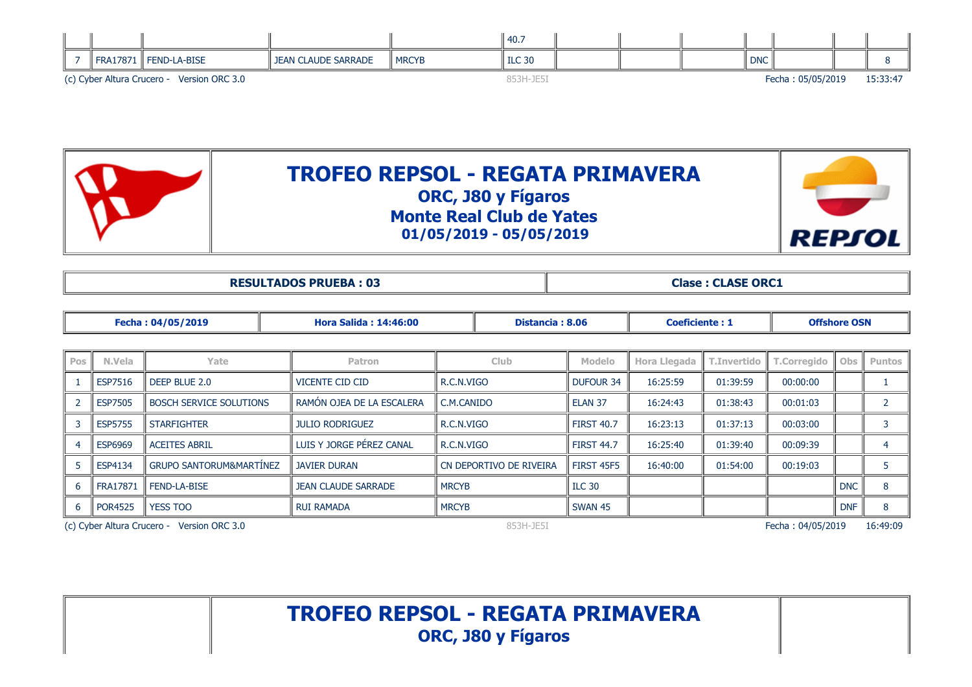|  |                            |                     |                            |              | 40.7          |  |            |                   |          |
|--|----------------------------|---------------------|----------------------------|--------------|---------------|--|------------|-------------------|----------|
|  | <b>FRA17871</b>            | <b>FEND-LA-BISE</b> | <b>JEAN CLAUDE SARRADE</b> | <b>MRCYB</b> | <b>ILC 30</b> |  | <b>DNC</b> |                   |          |
|  | (c) Cyber Altura Crucero - | Version ORC 3.0     |                            |              | 853H-JE5      |  |            | Fecha: 05/05/2019 | 15:33:47 |



**RESULTADOS PRUEBA : 03 Clase : CLASE ORC1** 

|            |                 | Fecha: 04/05/2019                          | <b>Hora Salida: 14:46:00</b> |              | Distancia: 8.06         |                    | <b>Coeficiente: 1</b> | <b>Offshore OSN</b> |                    |            |               |
|------------|-----------------|--------------------------------------------|------------------------------|--------------|-------------------------|--------------------|-----------------------|---------------------|--------------------|------------|---------------|
|            |                 |                                            |                              |              |                         |                    |                       |                     |                    |            |               |
| <b>Pos</b> | N.Vela          | Yate                                       | <b>Patron</b>                |              | Club.                   | <b>Modelo</b>      | <b>Hora Llegada</b>   | <b>T.Invertido</b>  | <b>T.Corregido</b> | Obs        | <b>Puntos</b> |
|            | <b>ESP7516</b>  | DEEP BLUE 2.0                              | VICENTE CID CID              | R.C.N.VIGO   |                         | <b>DUFOUR 34</b>   | 16:25:59              | 01:39:59            | 00:00:00           |            |               |
|            | <b>ESP7505</b>  | <b>BOSCH SERVICE SOLUTIONS</b>             | RAMON OJEA DE LA ESCALERA    | C.M.CANIDO   |                         | ELAN <sub>37</sub> | 16:24:43              | 01:38:43            | 00:01:03           |            |               |
|            | <b>ESP5755</b>  | <b>STARFIGHTER</b>                         | <b>JULIO RODRIGUEZ</b>       | R.C.N.VIGO   |                         | <b>FIRST 40.7</b>  | 16:23:13              | 01:37:13            | 00:03:00           |            |               |
|            | <b>ESP6969</b>  | <b>ACEITES ABRIL</b>                       | LUIS Y JORGE PEREZ CANAL     | R.C.N.VIGO   |                         | <b>FIRST 44.7</b>  | 16:25:40              | 01:39:40            | 00:09:39           |            | 4             |
|            | ESP4134         | <b>GRUPO SANTORUM&amp;MARTINEZ</b>         | <b>JAVIER DURAN</b>          |              | CN DEPORTIVO DE RIVEIRA | <b>FIRST 45F5</b>  | 16:40:00              | 01:54:00            | 00:19:03           |            |               |
| 6          | <b>FRA17871</b> | <b>FEND-LA-BISE</b>                        | <b>JEAN CLAUDE SARRADE</b>   | <b>MRCYB</b> |                         | <b>ILC 30</b>      |                       |                     |                    | <b>DNC</b> | 8             |
| 6          | <b>POR4525</b>  | <b>YESS TOO</b>                            | <b>RUI RAMADA</b>            | <b>MRCYB</b> |                         | SWAN 45            |                       |                     |                    | <b>DNF</b> | 8             |
|            |                 | (c) Cyber Altura Crucero - Version ORC 3.0 |                              |              | 853H-JE5I               |                    |                       |                     | Fecha: 04/05/2019  |            | 16:49:09      |

**TROFEO REPSOL - REGATA PRIMAVERA ORC, J80 y Fígaros**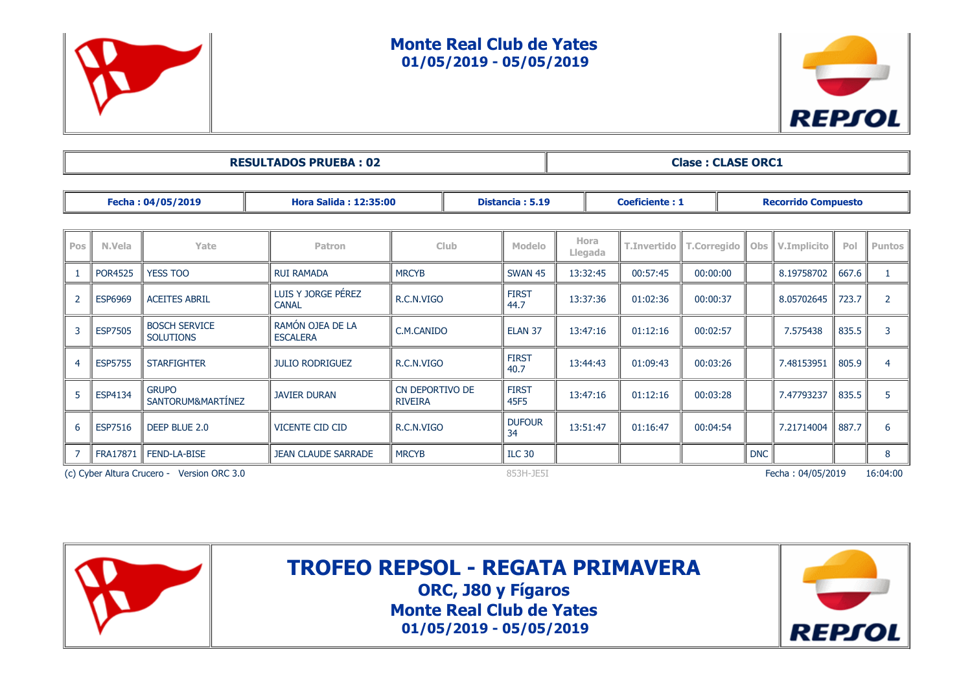

#### **Monte Real Club de Yates 01/05/2019 - 05/05/2019**



| <b>RESULTADOS PRUEBA: 02</b><br><b>Clase: CLASE ORC1</b> |
|----------------------------------------------------------|
|----------------------------------------------------------|

|                | Fecha: 04/05/2019<br><b>Hora Salida: 12:35:00</b> |                                          |                                     |                                   |             | Distancia: 5.19      |          | <b>Coeficiente: 1</b> |          |            | <b>Recorrido Compuesto</b> |                    |                    |       |             |     |        |
|----------------|---------------------------------------------------|------------------------------------------|-------------------------------------|-----------------------------------|-------------|----------------------|----------|-----------------------|----------|------------|----------------------------|--------------------|--------------------|-------|-------------|-----|--------|
|                |                                                   |                                          |                                     |                                   |             |                      |          |                       |          |            |                            |                    |                    |       |             |     |        |
| Pos            | N.Vela                                            | Yate                                     | <b>Patron</b>                       |                                   | <b>Club</b> |                      |          |                       |          |            | Hora<br>Llegada            | <b>T.Invertido</b> | <b>T.Corregido</b> | Obs   | V.Implicito | Pol | Puntos |
|                | <b>POR4525</b>                                    | <b>YESS TOO</b>                          | <b>RUI RAMADA</b>                   | <b>MRCYB</b>                      |             |                      |          |                       | 13:32:45 | 00:57:45   | 00:00:00                   |                    | 8.19758702         | 667.6 |             |     |        |
| $\overline{2}$ | <b>ESP6969</b>                                    | <b>ACEITES ABRIL</b>                     | LUIS Y JORGE PÉREZ<br><b>CANAL</b>  | R.C.N.VIGO                        |             | <b>FIRST</b><br>44.7 | 13:37:36 | 01:02:36              | 00:00:37 |            | 8.05702645                 | 723.7              | $\mathcal{P}$      |       |             |     |        |
| 3              | <b>ESP7505</b>                                    | <b>BOSCH SERVICE</b><br><b>SOLUTIONS</b> | RAMÓN OJEA DE LA<br><b>ESCALERA</b> | C.M.CANIDO                        |             | ELAN <sub>37</sub>   | 13:47:16 | 01:12:16              | 00:02:57 |            | 7.575438                   | 835.5              | 3                  |       |             |     |        |
| 4              | <b>ESP5755</b>                                    | <b>STARFIGHTER</b>                       | <b>JULIO RODRIGUEZ</b>              | R.C.N.VIGO                        |             | <b>FIRST</b><br>40.7 | 13:44:43 | 01:09:43              | 00:03:26 |            | 7.48153951                 | 805.9              | 4                  |       |             |     |        |
|                | ESP4134                                           | <b>GRUPO</b><br>SANTORUM&MARTÍNEZ        | <b>JAVIER DURAN</b>                 | CN DEPORTIVO DE<br><b>RIVEIRA</b> |             | <b>FIRST</b><br>45F5 | 13:47:16 | 01:12:16              | 00:03:28 |            | 7.47793237                 | 835.5              | 5                  |       |             |     |        |
| 6              | <b>ESP7516</b>                                    | DEEP BLUE 2.0                            | <b>VICENTE CID CID</b>              | R.C.N.VIGO                        |             | <b>DUFOUR</b><br>34  | 13:51:47 | 01:16:47              | 00:04:54 |            | 7.21714004                 | 887.7              | 6                  |       |             |     |        |
|                | FRA17871                                          | <b>FEND-LA-BISE</b>                      | <b>JEAN CLAUDE SARRADE</b>          | <b>MRCYB</b>                      |             | <b>ILC 30</b>        |          |                       |          | <b>DNC</b> |                            |                    | 8                  |       |             |     |        |
|                | (c) Cyber Altura Crucero - Version ORC 3.0        |                                          |                                     |                                   |             | 853H-JE5I            |          |                       |          |            | Fecha: 04/05/2019          |                    | 16:04:00           |       |             |     |        |



**TROFEO REPSOL - REGATA PRIMAVERA**

**ORC, J80 y Fígaros Monte Real Club de Yates 01/05/2019 - 05/05/2019**

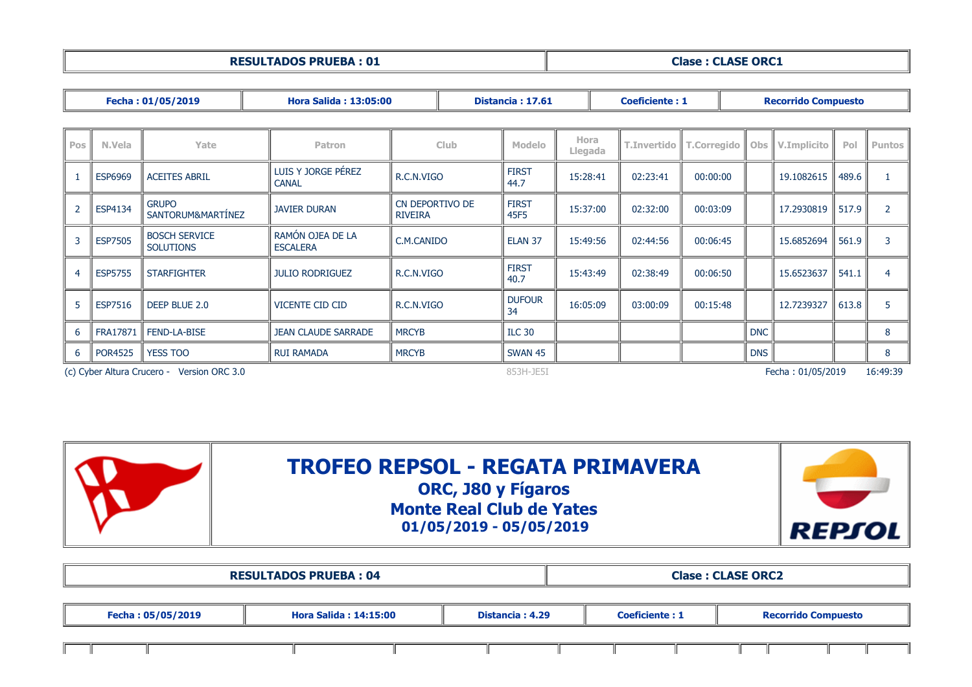| <b>RESULTADOS PRUEBA: 01</b> | <b>Clase: CLASE ORC1</b> |
|------------------------------|--------------------------|
|                              |                          |
|                              |                          |

|                          |                                                                                          | Fecha: 01/05/2019                        | <b>Hora Salida: 13:05:00</b>        |                                   | Distancia: 17.61 |                      |                 | <b>Coeficiente: 1</b> |                    | <b>Recorrido Compuesto</b> |            |                    |       |               |  |
|--------------------------|------------------------------------------------------------------------------------------|------------------------------------------|-------------------------------------|-----------------------------------|------------------|----------------------|-----------------|-----------------------|--------------------|----------------------------|------------|--------------------|-------|---------------|--|
|                          |                                                                                          |                                          |                                     |                                   |                  |                      |                 |                       |                    |                            |            |                    |       |               |  |
| Pos                      | N.Vela                                                                                   | Yate                                     | <b>Patron</b>                       |                                   | <b>Club</b>      | <b>Modelo</b>        | Hora<br>Llegada |                       | <b>T.Invertido</b> | <b>T.Corregido</b>         | Obs        | <b>V.Implicito</b> | Pol   | <b>Puntos</b> |  |
|                          | <b>ESP6969</b>                                                                           | <b>ACEITES ABRIL</b>                     | LUIS Y JORGE PÉREZ<br><b>CANAL</b>  | R.C.N.VIGO                        |                  | <b>FIRST</b><br>44.7 | 15:28:41        |                       | 02:23:41           | 00:00:00                   |            | 19.1082615         | 489.6 |               |  |
| $\overline{\phantom{a}}$ | ESP4134                                                                                  | <b>GRUPO</b><br>SANTORUM&MARTÍNEZ        | <b>JAVIER DURAN</b>                 | CN DEPORTIVO DE<br><b>RIVEIRA</b> |                  | <b>FIRST</b><br>45F5 | 15:37:00        |                       | 02:32:00           | 00:03:09                   |            | 17.2930819         | 517.9 | 2             |  |
|                          | <b>ESP7505</b>                                                                           | <b>BOSCH SERVICE</b><br><b>SOLUTIONS</b> | RAMÓN OJEA DE LA<br><b>ESCALERA</b> | C.M.CANIDO                        |                  | ELAN <sub>37</sub>   | 15:49:56        |                       | 02:44:56           | 00:06:45                   |            | 15.6852694         | 561.9 | 3             |  |
| 4                        | <b>ESP5755</b>                                                                           | <b>STARFIGHTER</b>                       | <b>JULIO RODRIGUEZ</b>              | R.C.N.VIGO                        |                  | <b>FIRST</b><br>40.7 | 15:43:49        |                       | 02:38:49           | 00:06:50                   |            | 15.6523637         | 541.1 | 4             |  |
| 5                        | ESP7516                                                                                  | DEEP BLUE 2.0                            | <b>VICENTE CID CID</b>              | R.C.N.VIGO                        |                  | <b>DUFOUR</b><br>34  | 16:05:09        |                       | 03:00:09           | 00:15:48                   |            | 12.7239327         | 613.8 | 5             |  |
| 6                        | <b>FRA17871</b>                                                                          | <b>FEND-LA-BISE</b>                      | <b>JEAN CLAUDE SARRADE</b>          | <b>MRCYB</b>                      |                  | <b>ILC 30</b>        |                 |                       |                    |                            | <b>DNC</b> |                    |       | 8             |  |
| 6                        | <b>POR4525</b><br><b>YESS TOO</b><br><b>RUI RAMADA</b><br><b>MRCYB</b>                   |                                          |                                     |                                   | <b>SWAN 45</b>   |                      |                 |                       |                    | <b>DNS</b>                 |            |                    | 8     |               |  |
|                          | (c) Cyber Altura Crucero - Version ORC 3.0<br>853H-JE5I<br>Fecha: 01/05/2019<br>16:49:39 |                                          |                                     |                                   |                  |                      |                 |                       |                    |                            |            |                    |       |               |  |







|                   | <b>RESULTADOS PRUEBA: 04</b> | <b>Clase: CLASE ORC2</b> |                       |                            |  |  |  |
|-------------------|------------------------------|--------------------------|-----------------------|----------------------------|--|--|--|
|                   |                              |                          |                       |                            |  |  |  |
| Fecha: 05/05/2019 | <b>Hora Salida: 14:15:00</b> | Distancia: 4.29          | <b>Coeficiente: 1</b> | <b>Recorrido Compuesto</b> |  |  |  |
|                   |                              |                          |                       |                            |  |  |  |

 $\mathbf{I}$ 

H

 $\mathbb{L}$ 

 $\mathbf{I}$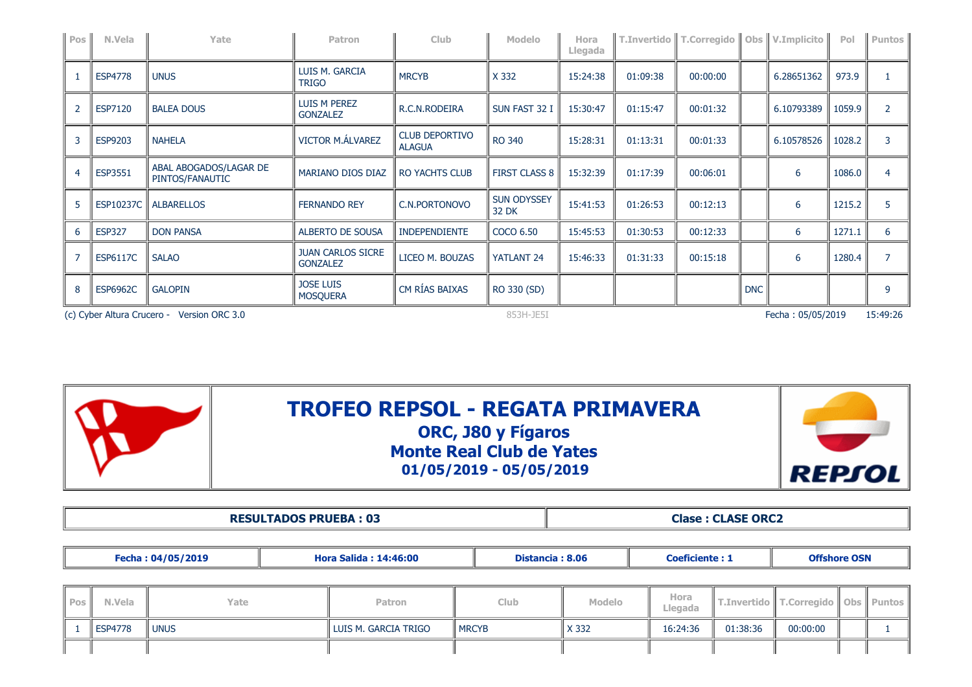| Pos            | N.Vela           | Yate                                                                                     | Patron                                      | <b>Club</b>                            | <b>Modelo</b>               | Hora<br>Llegada |          | T.Invertido   T.Corregido   Obs   V.Implicito |            |            | Pol    | Puntos <sup> </sup> |  |
|----------------|------------------|------------------------------------------------------------------------------------------|---------------------------------------------|----------------------------------------|-----------------------------|-----------------|----------|-----------------------------------------------|------------|------------|--------|---------------------|--|
|                | <b>ESP4778</b>   | <b>UNUS</b>                                                                              | LUIS M. GARCIA<br><b>TRIGO</b>              | <b>MRCYB</b>                           | X 332                       | 15:24:38        | 01:09:38 | 00:00:00                                      |            | 6.28651362 | 973.9  |                     |  |
|                | ESP7120          | <b>BALEA DOUS</b>                                                                        | <b>LUIS M PEREZ</b><br><b>GONZALEZ</b>      | R.C.N.RODEIRA                          | SUN FAST 32 I               | 15:30:47        | 01:15:47 | 00:01:32                                      |            | 6.10793389 | 1059.9 | $\overline{2}$      |  |
| 3              | ESP9203          | <b>NAHELA</b>                                                                            | VICTOR M.ÁLVAREZ                            | <b>CLUB DEPORTIVO</b><br><b>ALAGUA</b> | <b>RO 340</b>               | 15:28:31        | 01:13:31 | 00:01:33                                      |            | 6.10578526 | 1028.2 |                     |  |
| $\overline{4}$ | ESP3551          | ABAL ABOGADOS/LAGAR DE<br>PINTOS/FANAUTIC                                                | MARIANO DIOS DIAZ                           | <b>RO YACHTS CLUB</b>                  | <b>FIRST CLASS 8</b>        | 15:32:39        | 01:17:39 | 00:06:01                                      |            | 6          | 1086.0 |                     |  |
| 5              | <b>ESP10237C</b> | <b>ALBARELLOS</b>                                                                        | <b>FERNANDO REY</b>                         | C.N.PORTONOVO                          | <b>SUN ODYSSEY</b><br>32 DK | 15:41:53        | 01:26:53 | 00:12:13                                      |            | 6          | 1215.2 |                     |  |
| 6              | <b>ESP327</b>    | <b>DON PANSA</b>                                                                         | <b>ALBERTO DE SOUSA</b>                     | <b>INDEPENDIENTE</b>                   | COCO 6.50                   | 15:45:53        | 01:30:53 | 00:12:33                                      |            | 6          | 1271.1 | 6                   |  |
|                | <b>ESP6117C</b>  | <b>SALAO</b>                                                                             | <b>JUAN CARLOS SICRE</b><br><b>GONZALEZ</b> | LICEO M. BOUZAS                        | YATLANT 24                  | 15:46:33        | 01:31:33 | 00:15:18                                      |            | 6          | 1280.4 |                     |  |
| 8              | <b>ESP6962C</b>  | <b>GALOPIN</b>                                                                           | <b>JOSE LUIS</b><br><b>MOSQUERA</b>         | CM RÍAS BAIXAS                         | RO 330 (SD)                 |                 |          |                                               | <b>DNC</b> |            |        | 9                   |  |
|                |                  | Fecha: 05/05/2019<br>(c) Cyber Altura Crucero - Version ORC 3.0<br>853H-JE5I<br>15:49:26 |                                             |                                        |                             |                 |          |                                               |            |            |        |                     |  |



### **TROFEO REPSOL - REGATA PRIMAVERA ORC, J80 y Fígaros Monte Real Club de Yates**

**01/05/2019 - 05/05/2019**



**RESULTADOS PRUEBA : 03 Clase : CLASE ORC2** 

| Fecha: 04/05/2019 |                | <b>Hora Salida: 14:46:00</b> |                      | Distancia: 8.06 |               |          | <b>Offshore OSN</b> |                           |            |               |
|-------------------|----------------|------------------------------|----------------------|-----------------|---------------|----------|---------------------|---------------------------|------------|---------------|
|                   |                |                              |                      |                 |               |          |                     |                           |            |               |
| Pos               | N.Vela         | Yate                         | <b>Patron</b>        | Club.           | <b>Modelo</b> |          |                     | T.Invertido   T.Corregido | <b>Obs</b> | <b>Puntos</b> |
|                   | <b>ESP4778</b> | <b>UNUS</b>                  | LUIS M. GARCIA TRIGO | <b>I</b> MRCYB  | X 332         | 16:24:36 | 01:38:36            | 00:00:00                  |            |               |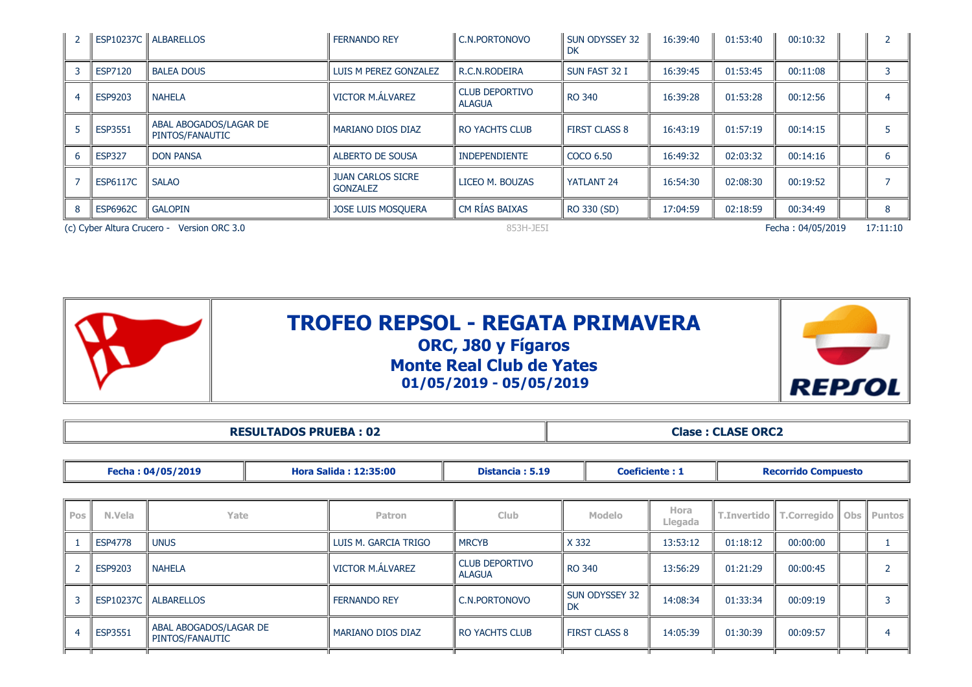| $\overline{2}$ |                 | ESP10237C ALBARELLOS                       | <b>FERNANDO REY</b>                         | C.N.PORTONOVO                          | SUN ODYSSEY 32<br><b>DK</b> | 16:39:40 | 01:53:40 | 00:10:32          |          |
|----------------|-----------------|--------------------------------------------|---------------------------------------------|----------------------------------------|-----------------------------|----------|----------|-------------------|----------|
|                | <b>ESP7120</b>  | <b>BALEA DOUS</b>                          | LUIS M PEREZ GONZALEZ                       | R.C.N.RODEIRA                          | SUN FAST 32 I               | 16:39:45 | 01:53:45 | 00:11:08          |          |
|                | <b>ESP9203</b>  | <b>NAHELA</b>                              | <b>VICTOR M.ÁLVAREZ</b>                     | <b>CLUB DEPORTIVO</b><br><b>ALAGUA</b> | <b>RO 340</b>               | 16:39:28 | 01:53:28 | 00:12:56          |          |
|                | <b>ESP3551</b>  | ABAL ABOGADOS/LAGAR DE<br>PINTOS/FANAUTIC  | <b>MARIANO DIOS DIAZ</b>                    | <b>RO YACHTS CLUB</b>                  | <b>FIRST CLASS 8</b>        | 16:43:19 | 01:57:19 | 00:14:15          |          |
| 6              | <b>ESP327</b>   | <b>DON PANSA</b>                           | ALBERTO DE SOUSA                            | <b>INDEPENDIENTE</b>                   | COCO 6.50                   | 16:49:32 | 02:03:32 | 00:14:16          |          |
|                | <b>ESP6117C</b> | <b>SALAO</b>                               | <b>JUAN CARLOS SICRE</b><br><b>GONZALEZ</b> | LICEO M. BOUZAS                        | YATLANT 24                  | 16:54:30 | 02:08:30 | 00:19:52          |          |
|                | <b>ESP6962C</b> | <b>GALOPIN</b>                             | <b>JOSE LUIS MOSQUERA</b>                   | CM RÍAS BAIXAS                         | RO 330 (SD)                 | 17:04:59 | 02:18:59 | 00:34:49          |          |
|                |                 | (c) Cyber Altura Crucero - Version ORC 3.0 |                                             | 853H-JE5I                              |                             |          |          | Fecha: 04/05/2019 | 17:11:10 |



|            |                |                                           | <b>RESULTADOS PRUEBA: 02</b> |                                                 |                                        | <b>Clase: CLASE ORC2</b> |                      |                       |                            |             |     |               |  |  |  |
|------------|----------------|-------------------------------------------|------------------------------|-------------------------------------------------|----------------------------------------|--------------------------|----------------------|-----------------------|----------------------------|-------------|-----|---------------|--|--|--|
|            |                |                                           |                              |                                                 |                                        |                          |                      |                       |                            |             |     |               |  |  |  |
|            |                | Fecha: 04/05/2019                         |                              | Distancia: 5.19<br><b>Hora Salida: 12:35:00</b> |                                        |                          |                      | <b>Coeficiente: 1</b> | <b>Recorrido Compuesto</b> |             |     |               |  |  |  |
|            |                |                                           |                              |                                                 |                                        |                          |                      |                       |                            |             |     |               |  |  |  |
| <b>Pos</b> | N.Vela         | Yate                                      |                              | <b>Patron</b>                                   | <b>Club</b>                            |                          | <b>Modelo</b>        | Hora<br>Llegada       | T.Invertido                | T.Corregido | Obs | <b>Puntos</b> |  |  |  |
|            | <b>ESP4778</b> | UNUS                                      |                              |                                                 | <b>MRCYB</b>                           | X 332                    |                      | 13:53:12              | 01:18:12                   | 00:00:00    |     |               |  |  |  |
|            | <b>ESP9203</b> | <b>NAHELA</b>                             |                              |                                                 | <b>CLUB DEPORTIVO</b><br><b>ALAGUA</b> |                          | RO 340               | 13:56:29              | 01:21:29                   | 00:00:45    |     |               |  |  |  |
|            | ESP10237C      | <b>ALBARELLOS</b>                         |                              | <b>FERNANDO REY</b>                             | C.N.PORTONOVO                          | DK                       | SUN ODYSSEY 32       | 14:08:34              | 01:33:34                   | 00:09:19    |     |               |  |  |  |
|            | ESP3551        | ABAL ABOGADOS/LAGAR DE<br>PINTOS/FANAUTIC |                              | MARIANO DIOS DIAZ                               | I RO YACHTS CLUB                       |                          | <b>FIRST CLASS 8</b> | 14:05:39              | 01:30:39                   | 00:09:57    |     |               |  |  |  |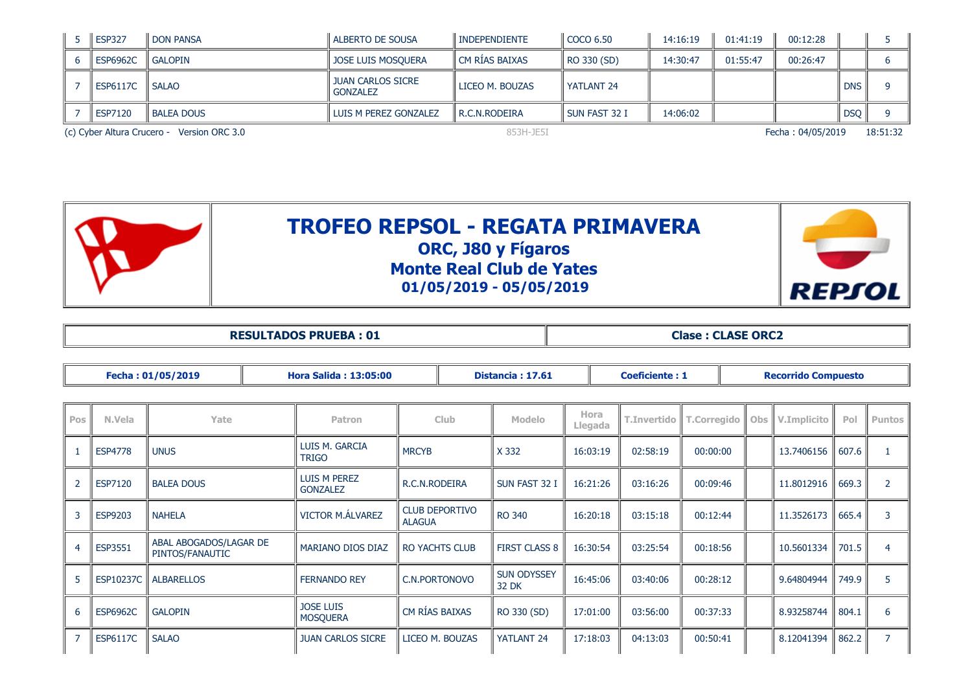|  | <b>ESP327</b>   | I DON PANSA                                | I ALBERTO DE SOUSA                          | ll INDEPENDIENTE | COCO 6.50       | 14:16:19 | 01:41:19 | 00:12:28          |            |          |
|--|-----------------|--------------------------------------------|---------------------------------------------|------------------|-----------------|----------|----------|-------------------|------------|----------|
|  | <b>ESP6962C</b> | l Galopin                                  | <b>JOSE LUIS MOSQUERA</b>                   | l CM RÍAS BAIXAS | RO 330 (SD)     | 14:30:47 | 01:55:47 | 00:26:47          |            |          |
|  | <b>ESP6117C</b> | l SALAO                                    | <b>JUAN CARLOS SICRE</b><br><b>GONZALEZ</b> | LICEO M. BOUZAS  | YATLANT 24      |          |          |                   | <b>DNS</b> |          |
|  | ESP7120         | I BALEA DOUS                               | LUIS M PEREZ GONZALEZ                       | l R.C.N.RODEIRA  | l sun fast 32 I | 14:06:02 |          |                   | DSQ        |          |
|  |                 | (c) Cyber Altura Crucero - Version ORC 3.0 | 853H-JE5I                                   |                  |                 |          |          | Fecha: 04/05/2019 |            | 18:51:32 |



|  | <b>RESULTADOS PRUEBA: 0:</b> |  |  |
|--|------------------------------|--|--|
|--|------------------------------|--|--|

**Resultation in the class of the class of Clase : CLASE ORC2** 

|                | Fecha: 01/05/2019 |                                           |  | <b>Hora Salida: 13:05:00</b>        | Distancia: 17.61 |                       |                             |                 | <b>Coeficiente: 1</b> |                    |  | <b>Recorrido Compuesto</b> |             |       |                |  |
|----------------|-------------------|-------------------------------------------|--|-------------------------------------|------------------|-----------------------|-----------------------------|-----------------|-----------------------|--------------------|--|----------------------------|-------------|-------|----------------|--|
|                |                   |                                           |  |                                     |                  |                       |                             |                 |                       |                    |  |                            |             |       |                |  |
| Pos            | N.Vela            | Yate                                      |  | Patron                              | <b>Club</b>      |                       | <b>Modelo</b>               | Hora<br>Llegada | <b>T.Invertido</b>    | <b>T.Corregido</b> |  | Obs                        | V.Implicito | Pol   | <b>Puntos</b>  |  |
|                | <b>ESP4778</b>    | <b>UNUS</b>                               |  | LUIS M. GARCIA<br><b>TRIGO</b>      | <b>MRCYB</b>     |                       | X 332                       | 16:03:19        | 02:58:19              | 00:00:00           |  |                            | 13.7406156  | 607.6 |                |  |
| $\overline{2}$ | ESP7120           | <b>BALEA DOUS</b>                         |  | LUIS M PEREZ<br><b>GONZALEZ</b>     | R.C.N.RODEIRA    |                       | SUN FAST 32 I               | 16:21:26        | 03:16:26              | 00:09:46           |  |                            | 11.8012916  | 669.3 | $\overline{2}$ |  |
| 3              | ESP9203           | <b>NAHELA</b>                             |  | VICTOR M.ÁLVAREZ                    | <b>ALAGUA</b>    | <b>CLUB DEPORTIVO</b> | <b>RO 340</b>               | 16:20:18        | 03:15:18              | 00:12:44           |  |                            | 11.3526173  | 665.4 | 3              |  |
| $\overline{4}$ | ESP3551           | ABAL ABOGADOS/LAGAR DE<br>PINTOS/FANAUTIC |  | <b>MARIANO DIOS DIAZ</b>            |                  | <b>RO YACHTS CLUB</b> | <b>FIRST CLASS 8</b>        | 16:30:54        | 03:25:54              | 00:18:56           |  |                            | 10.5601334  | 701.5 | 4              |  |
| 5              | ESP10237C         | <b>ALBARELLOS</b>                         |  | <b>FERNANDO REY</b>                 | C.N.PORTONOVO    |                       | <b>SUN ODYSSEY</b><br>32 DK | 16:45:06        | 03:40:06              | 00:28:12           |  |                            | 9.64804944  | 749.9 | 5.             |  |
| 6              | <b>ESP6962C</b>   | <b>GALOPIN</b>                            |  | <b>JOSE LUIS</b><br><b>MOSQUERA</b> | CM RÍAS BAIXAS   |                       | RO 330 (SD)                 | 17:01:00        | 03:56:00              | 00:37:33           |  |                            | 8.93258744  | 804.1 | 6              |  |
| $\overline{7}$ | <b>ESP6117C</b>   | <b>SALAO</b>                              |  | <b>JUAN CARLOS SICRE</b>            |                  | LICEO M. BOUZAS       | YATLANT <sub>24</sub>       | 17:18:03        | 04:13:03              | 00:50:41           |  |                            | 8.12041394  | 862.2 | $\overline{7}$ |  |